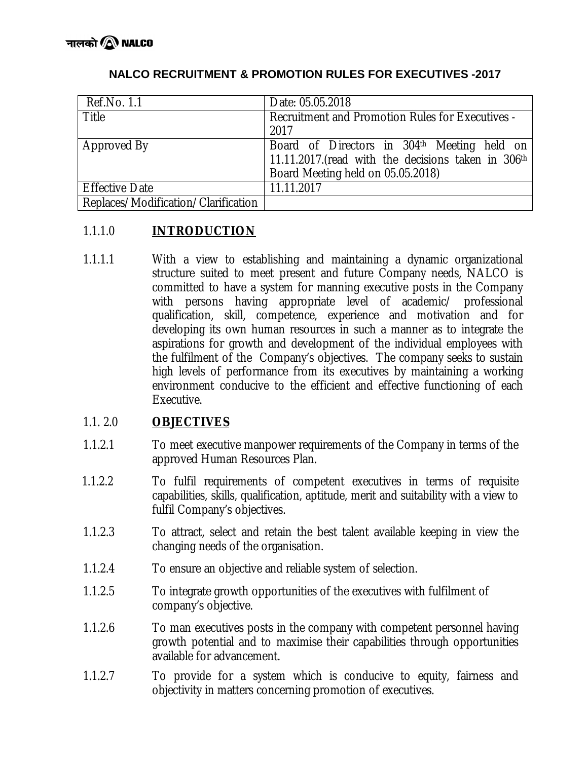| Ref.No. 1.1                         | Date: 05.05.2018                                   |
|-------------------------------------|----------------------------------------------------|
| Title                               | Recruitment and Promotion Rules for Executives -   |
|                                     | 2017                                               |
| Approved By                         | Board of Directors in 304th Meeting held on        |
|                                     | 11.11.2017.(read with the decisions taken in 306th |
|                                     | Board Meeting held on 05.05.2018)                  |
| <b>Effective Date</b>               | 11.11.2017                                         |
| Replaces/Modification/Clarification |                                                    |

# **NALCO RECRUITMENT & PROMOTION RULES FOR EXECUTIVES -2017**

## 1.1.1.0 **INTRODUCTION**

1.1.1.1 With a view to establishing and maintaining a dynamic organizational structure suited to meet present and future Company needs, NALCO is committed to have a system for manning executive posts in the Company with persons having appropriate level of academic/ professional qualification, skill, competence, experience and motivation and for developing its own human resources in such a manner as to integrate the aspirations for growth and development of the individual employees with the fulfilment of the Company's objectives. The company seeks to sustain high levels of performance from its executives by maintaining a working environment conducive to the efficient and effective functioning of each Executive.

# 1.1. 2.0 **OBJECTIVES**

- 1.1.2.1 To meet executive manpower requirements of the Company in terms of the approved Human Resources Plan.
- 1.1.2.2 To fulfil requirements of competent executives in terms of requisite capabilities, skills, qualification, aptitude, merit and suitability with a view to fulfil Company's objectives.
- 1.1.2.3 To attract, select and retain the best talent available keeping in view the changing needs of the organisation.
- 1.1.2.4 To ensure an objective and reliable system of selection.
- 1.1.2.5 To integrate growth opportunities of the executives with fulfilment of company's objective.
- 1.1.2.6 To man executives posts in the company with competent personnel having growth potential and to maximise their capabilities through opportunities available for advancement.
- 1.1.2.7 To provide for a system which is conducive to equity, fairness and objectivity in matters concerning promotion of executives.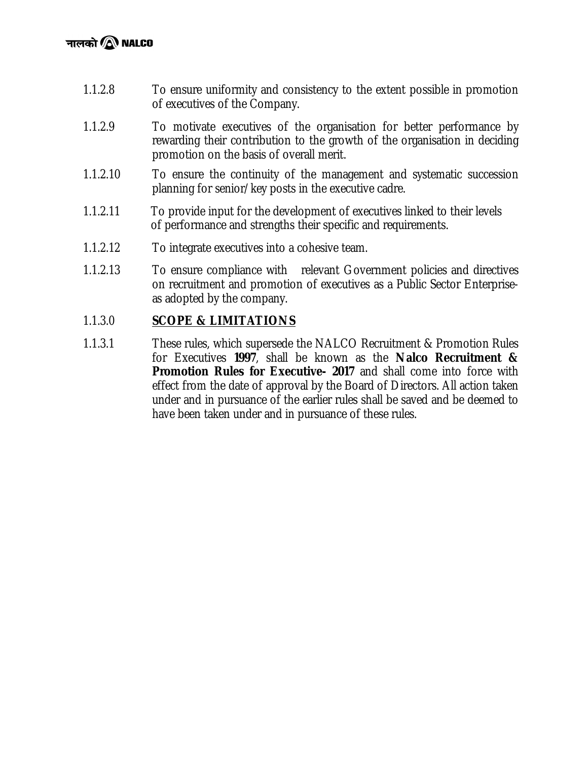- 1.1.2.8 To ensure uniformity and consistency to the extent possible in promotion of executives of the Company.
- 1.1.2.9 To motivate executives of the organisation for better performance by rewarding their contribution to the growth of the organisation in deciding promotion on the basis of overall merit.
- 1.1.2.10 To ensure the continuity of the management and systematic succession planning for senior/key posts in the executive cadre.
- 1.1.2.11 To provide input for the development of executives linked to their levels of performance and strengths their specific and requirements.
- 1.1.2.12 To integrate executives into a cohesive team.
- 1.1.2.13 To ensure compliance with relevant Government policies and directives on recruitment and promotion of executives as a Public Sector Enterpriseas adopted by the company.

## 1.1.3.0 **SCOPE & LIMITATIONS**

1.1.3.1 These rules, which supersede the NALCO Recruitment & Promotion Rules for Executives **1997**, shall be known as the **Nalco Recruitment & Promotion Rules for Executive- 2017** and shall come into force with effect from the date of approval by the Board of Directors. All action taken under and in pursuance of the earlier rules shall be saved and be deemed to have been taken under and in pursuance of these rules.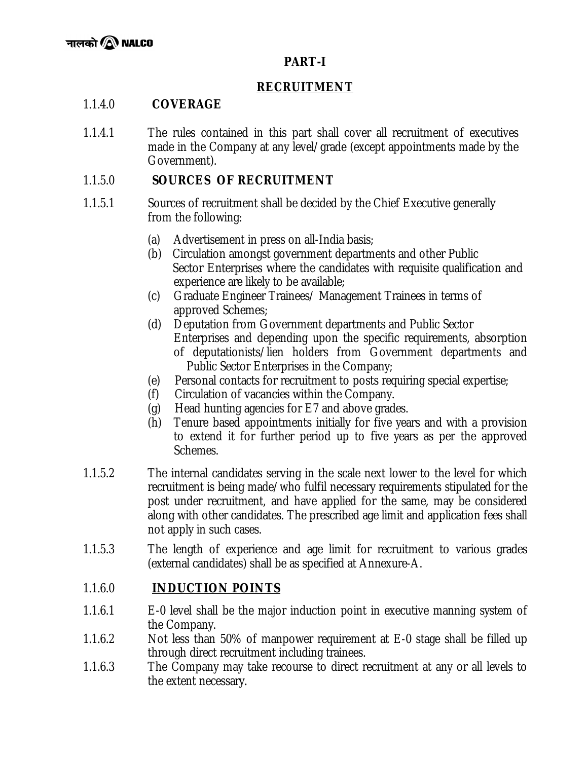# **PART-I**

# **RECRUITMENT**

# 1.1.4.0 **COVERAGE**

1.1.4.1 The rules contained in this part shall cover all recruitment of executives made in the Company at any level/grade (except appointments made by the Government).

# 1.1.5.0 **SOURCES OF RECRUITMENT**

- 1.1.5.1 Sources of recruitment shall be decided by the Chief Executive generally from the following:
	- (a) Advertisement in press on all-India basis;
	- (b) Circulation amongst government departments and other Public Sector Enterprises where the candidates with requisite qualification and experience are likely to be available;
	- (c) Graduate Engineer Trainees/ Management Trainees in terms of approved Schemes;
	- (d) Deputation from Government departments and Public Sector Enterprises and depending upon the specific requirements, absorption of deputationists/lien holders from Government departments and Public Sector Enterprises in the Company;
	- (e) Personal contacts for recruitment to posts requiring special expertise;
	- (f) Circulation of vacancies within the Company.
	- (g) Head hunting agencies for E7 and above grades.
	- (h) Tenure based appointments initially for five years and with a provision to extend it for further period up to five years as per the approved Schemes.
- 1.1.5.2 The internal candidates serving in the scale next lower to the level for which recruitment is being made/who fulfil necessary requirements stipulated for the post under recruitment, and have applied for the same, may be considered along with other candidates. The prescribed age limit and application fees shall not apply in such cases.
- 1.1.5.3 The length of experience and age limit for recruitment to various grades (external candidates) shall be as specified at Annexure-A.

# 1.1.6.0 **INDUCTION POINTS**

- 1.1.6.1 E-0 level shall be the major induction point in executive manning system of the Company.
- 1.1.6.2 Not less than 50% of manpower requirement at E-0 stage shall be filled up through direct recruitment including trainees.
- 1.1.6.3 The Company may take recourse to direct recruitment at any or all levels to the extent necessary.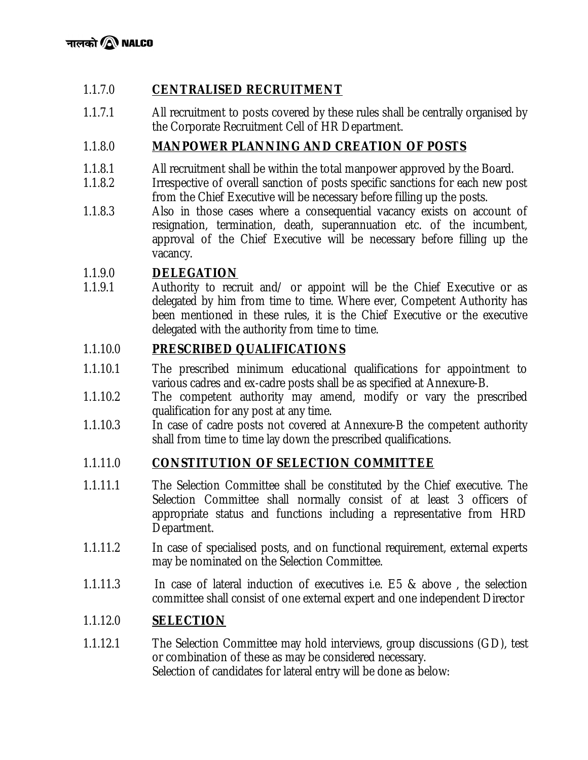# 1.1.7.0 **CENTRALISED RECRUITMENT**

1.1.7.1 All recruitment to posts covered by these rules shall be centrally organised by the Corporate Recruitment Cell of HR Department.

# 1.1.8.0 **MANPOWER PLANNING AND CREATION OF POSTS**

- 1.1.8.1 All recruitment shall be within the total manpower approved by the Board.
- 1.1.8.2 Irrespective of overall sanction of posts specific sanctions for each new post from the Chief Executive will be necessary before filling up the posts.
- 1.1.8.3 Also in those cases where a consequential vacancy exists on account of resignation, termination, death, superannuation etc. of the incumbent, approval of the Chief Executive will be necessary before filling up the vacancy.

# 1.1.9.0 **DELEGATION**

1.1.9.1 Authority to recruit and/ or appoint will be the Chief Executive or as delegated by him from time to time. Where ever, Competent Authority has been mentioned in these rules, it is the Chief Executive or the executive delegated with the authority from time to time.

# 1.1.10.0 **PRESCRIBED QUALIFICATIONS**

- 1.1.10.1 The prescribed minimum educational qualifications for appointment to various cadres and ex-cadre posts shall be as specified at Annexure-B.
- 1.1.10.2 The competent authority may amend, modify or vary the prescribed qualification for any post at any time.
- 1.1.10.3 In case of cadre posts not covered at Annexure-B the competent authority shall from time to time lay down the prescribed qualifications.

# 1.1.11.0 **CONSTITUTION OF SELECTION COMMITTEE**

- 1.1.11.1 The Selection Committee shall be constituted by the Chief executive. The Selection Committee shall normally consist of at least 3 officers of appropriate status and functions including a representative from HRD Department.
- 1.1.11.2 In case of specialised posts, and on functional requirement, external experts may be nominated on the Selection Committee.
- 1.1.11.3 In case of lateral induction of executives i.e. E5 & above , the selection committee shall consist of one external expert and one independent Director

# 1.1.12.0 **SELECTION**

1.1.12.1 The Selection Committee may hold interviews, group discussions (GD), test or combination of these as may be considered necessary. Selection of candidates for lateral entry will be done as below: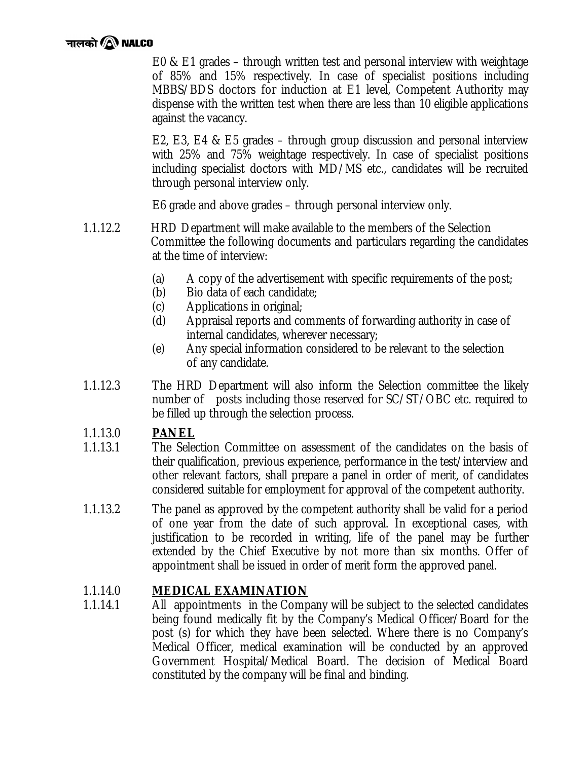# नालको $\,$ ि NALCO

E0 & E1 grades – through written test and personal interview with weightage of 85% and 15% respectively. In case of specialist positions including MBBS/BDS doctors for induction at E1 level, Competent Authority may dispense with the written test when there are less than 10 eligible applications against the vacancy.

E2, E3, E4 & E5 grades – through group discussion and personal interview with 25% and 75% weightage respectively. In case of specialist positions including specialist doctors with MD/MS etc., candidates will be recruited through personal interview only.

E6 grade and above grades – through personal interview only.

- 1.1.12.2 HRD Department will make available to the members of the Selection Committee the following documents and particulars regarding the candidates at the time of interview:
	- (a) A copy of the advertisement with specific requirements of the post;
	- (b) Bio data of each candidate;
	- (c) Applications in original;
	- (d) Appraisal reports and comments of forwarding authority in case of internal candidates, wherever necessary;
	- (e) Any special information considered to be relevant to the selection of any candidate.
- 1.1.12.3 The HRD Department will also inform the Selection committee the likely number of posts including those reserved for SC/ST/OBC etc. required to be filled up through the selection process.

# 1.1.13.0 **PANEL**

- 1.1.13.1 The Selection Committee on assessment of the candidates on the basis of their qualification, previous experience, performance in the test/interview and other relevant factors, shall prepare a panel in order of merit, of candidates considered suitable for employment for approval of the competent authority.
- 1.1.13.2 The panel as approved by the competent authority shall be valid for a period of one year from the date of such approval. In exceptional cases, with justification to be recorded in writing, life of the panel may be further extended by the Chief Executive by not more than six months. Offer of appointment shall be issued in order of merit form the approved panel.

# 1.1.14.0 **MEDICAL EXAMINATION**

1.1.14.1 All appointments in the Company will be subject to the selected candidates being found medically fit by the Company's Medical Officer/Board for the post (s) for which they have been selected. Where there is no Company's Medical Officer, medical examination will be conducted by an approved Government Hospital/Medical Board. The decision of Medical Board constituted by the company will be final and binding.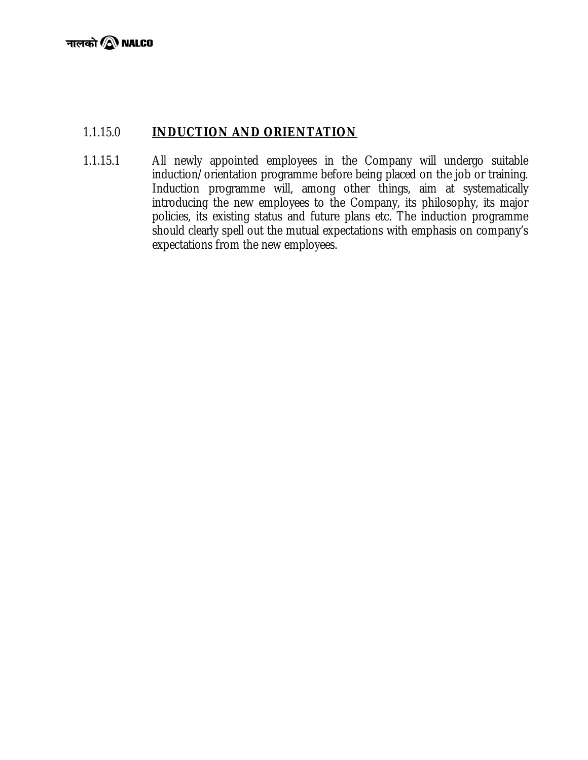# 1.1.15.0 **INDUCTION AND ORIENTATION**

1.1.15.1 All newly appointed employees in the Company will undergo suitable induction/orientation programme before being placed on the job or training. Induction programme will, among other things, aim at systematically introducing the new employees to the Company, its philosophy, its major policies, its existing status and future plans etc. The induction programme should clearly spell out the mutual expectations with emphasis on company's expectations from the new employees.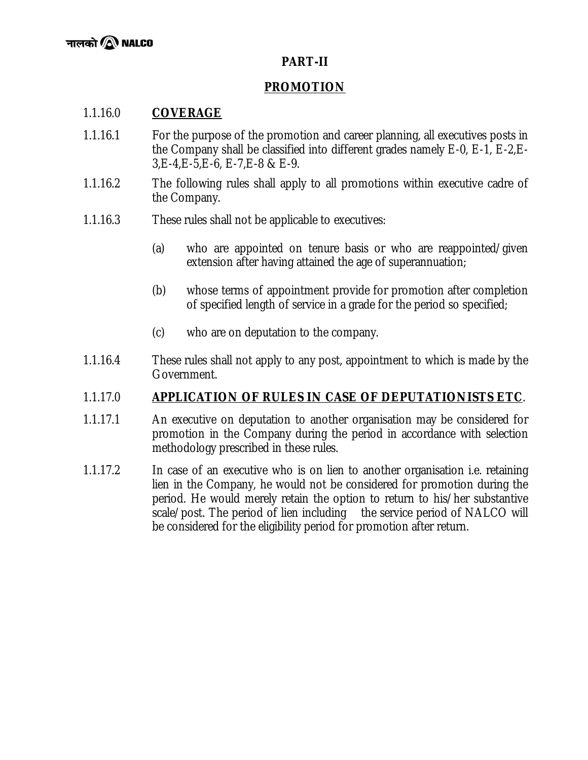## **PART-II**

# **PROMOTION**

## 1.1.16.0 **COVERAGE**

- 1.1.16.1 For the purpose of the promotion and career planning, all executives posts in the Company shall be classified into different grades namely E-0, E-1, E-2,E-3,E-4,E-5,E-6, E-7,E-8 & E-9.
- 1.1.16.2 The following rules shall apply to all promotions within executive cadre of the Company.
- 1.1.16.3 These rules shall not be applicable to executives:
	- (a) who are appointed on tenure basis or who are reappointed/given extension after having attained the age of superannuation;
	- (b) whose terms of appointment provide for promotion after completion of specified length of service in a grade for the period so specified;
	- (c) who are on deputation to the company.
- 1.1.16.4 These rules shall not apply to any post, appointment to which is made by the Government.

### 1.1.17.0 **APPLICATION OF RULES IN CASE OF DEPUTATIONISTS ETC**.

- 1.1.17.1 An executive on deputation to another organisation may be considered for promotion in the Company during the period in accordance with selection methodology prescribed in these rules.
- 1.1.17.2 In case of an executive who is on lien to another organisation i.e. retaining lien in the Company, he would not be considered for promotion during the period. He would merely retain the option to return to his/her substantive scale/post. The period of lien including the service period of NALCO will be considered for the eligibility period for promotion after return.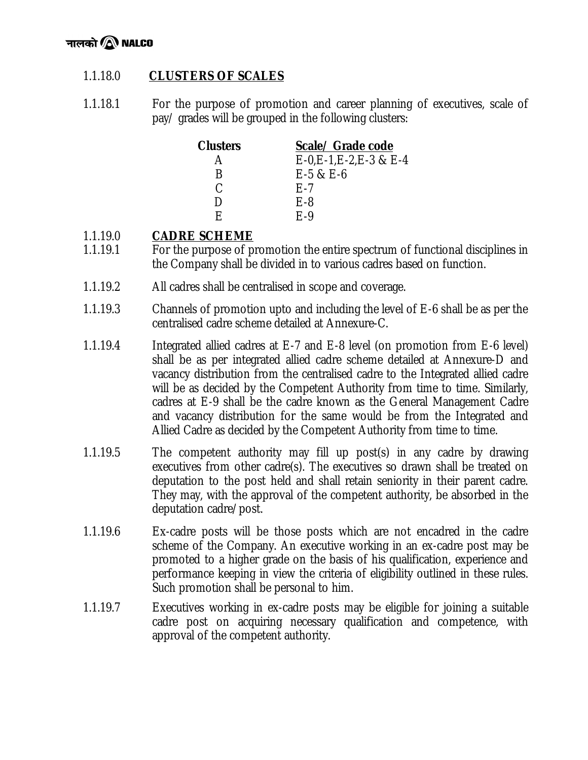

# 1.1.18.0 **CLUSTERS OF SCALES**

1.1.18.1 For the purpose of promotion and career planning of executives, scale of pay/ grades will be grouped in the following clusters:

| <b>Clusters</b> | Scale/ Grade code         |
|-----------------|---------------------------|
|                 | $E-0,E-1,E-2,E-3$ & $E-4$ |
| R               | $E-5$ & $E-6$             |
| C               | F-7                       |
| ו ו             | E-8                       |
| F               | $F-9$                     |

# 1.1.19.0 **CADRE SCHEME**

- 1.1.19.1 For the purpose of promotion the entire spectrum of functional disciplines in the Company shall be divided in to various cadres based on function.
- 1.1.19.2 All cadres shall be centralised in scope and coverage.
- 1.1.19.3 Channels of promotion upto and including the level of E-6 shall be as per the centralised cadre scheme detailed at Annexure-C.
- 1.1.19.4 Integrated allied cadres at E-7 and E-8 level (on promotion from E-6 level) shall be as per integrated allied cadre scheme detailed at Annexure-D and vacancy distribution from the centralised cadre to the Integrated allied cadre will be as decided by the Competent Authority from time to time. Similarly, cadres at E-9 shall be the cadre known as the General Management Cadre and vacancy distribution for the same would be from the Integrated and Allied Cadre as decided by the Competent Authority from time to time.
- 1.1.19.5 The competent authority may fill up post(s) in any cadre by drawing executives from other cadre(s). The executives so drawn shall be treated on deputation to the post held and shall retain seniority in their parent cadre. They may, with the approval of the competent authority, be absorbed in the deputation cadre/post.
- 1.1.19.6 Ex-cadre posts will be those posts which are not encadred in the cadre scheme of the Company. An executive working in an ex-cadre post may be promoted to a higher grade on the basis of his qualification, experience and performance keeping in view the criteria of eligibility outlined in these rules. Such promotion shall be personal to him.
- 1.1.19.7 Executives working in ex-cadre posts may be eligible for joining a suitable cadre post on acquiring necessary qualification and competence, with approval of the competent authority.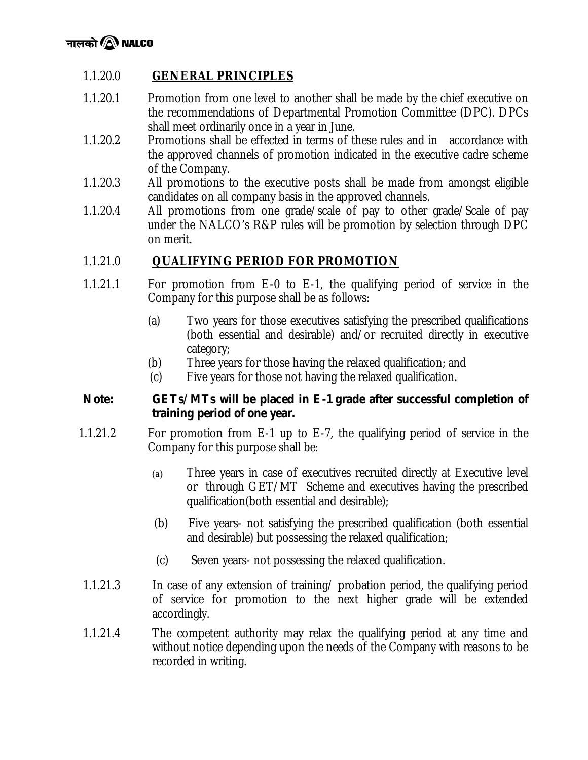# 1.1.20.0 **GENERAL PRINCIPLES**

- 1.1.20.1 Promotion from one level to another shall be made by the chief executive on the recommendations of Departmental Promotion Committee (DPC). DPCs shall meet ordinarily once in a year in June.
- 1.1.20.2 Promotions shall be effected in terms of these rules and in accordance with the approved channels of promotion indicated in the executive cadre scheme of the Company.
- 1.1.20.3 All promotions to the executive posts shall be made from amongst eligible candidates on all company basis in the approved channels.
- 1.1.20.4 All promotions from one grade/scale of pay to other grade/Scale of pay under the NALCO's R&P rules will be promotion by selection through DPC on merit.

# 1.1.21.0 **QUALIFYING PERIOD FOR PROMOTION**

- 1.1.21.1 For promotion from E-0 to E-1, the qualifying period of service in the Company for this purpose shall be as follows:
	- (a) Two years for those executives satisfying the prescribed qualifications (both essential and desirable) and/or recruited directly in executive category;
	- (b) Three years for those having the relaxed qualification; and
	- (c) Five years for those not having the relaxed qualification.

### *Note: GETs/MTs will be placed in E-1 grade after successful completion of training period of one year.*

- 1.1.21.2 For promotion from E-1 up to E-7, the qualifying period of service in the Company for this purpose shall be:
	- (a) Three years in case of executives recruited directly at Executive level or through GET/MT Scheme and executives having the prescribed qualification(both essential and desirable);
	- (b) Five years- not satisfying the prescribed qualification (both essential and desirable) but possessing the relaxed qualification;
	- (c) Seven years- not possessing the relaxed qualification.
- 1.1.21.3 In case of any extension of training/ probation period, the qualifying period of service for promotion to the next higher grade will be extended accordingly.
- 1.1.21.4 The competent authority may relax the qualifying period at any time and without notice depending upon the needs of the Company with reasons to be recorded in writing.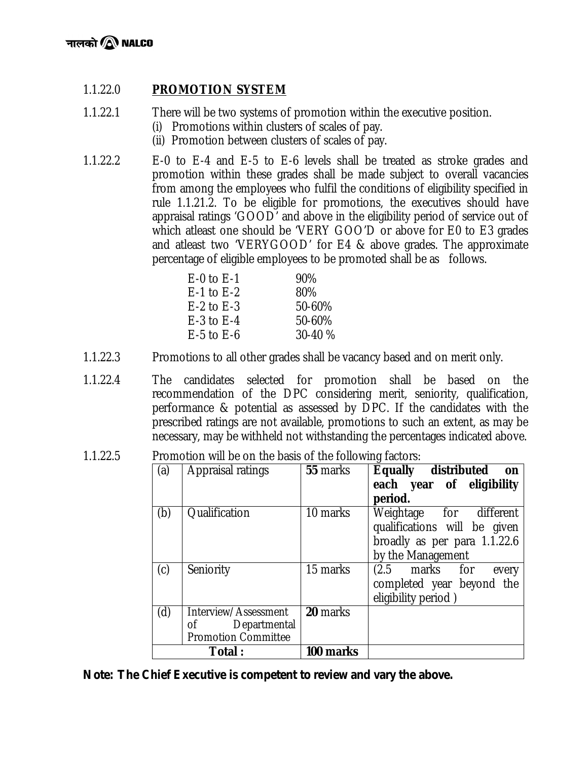## 1.1.22.0 **PROMOTION SYSTEM**

- 1.1.22.1 There will be two systems of promotion within the executive position.
	- (i) Promotions within clusters of scales of pay.
	- (ii) Promotion between clusters of scales of pay.
- 1.1.22.2 E-0 to E-4 and E-5 to E-6 levels shall be treated as stroke grades and promotion within these grades shall be made subject to overall vacancies from among the employees who fulfil the conditions of eligibility specified in rule 1.1.21.2. To be eligible for promotions, the executives should have appraisal ratings 'GOOD' and above in the eligibility period of service out of which atleast one should be 'VERY GOO'D or above for E0 to E3 grades and atleast two 'VERYGOOD' for E4 & above grades. The approximate percentage of eligible employees to be promoted shall be as follows.

| 90%     |
|---------|
| 80%     |
| 50-60%  |
| 50-60%  |
| 30-40 % |
|         |

- 1.1.22.3 Promotions to all other grades shall be vacancy based and on merit only.
- 1.1.22.4 The candidates selected for promotion shall be based on the recommendation of the DPC considering merit, seniority, qualification, performance & potential as assessed by DPC. If the candidates with the prescribed ratings are not available, promotions to such an extent, as may be necessary, may be withheld not withstanding the percentages indicated above.

| 1.1.22.5<br>Promotion will be on the basis of the following factors: |  |
|----------------------------------------------------------------------|--|
|----------------------------------------------------------------------|--|

| (a) | <b>Appraisal ratings</b>                                                 | 55 marks  | Equally distributed<br>on<br>each year of eligibility<br>period.                                             |
|-----|--------------------------------------------------------------------------|-----------|--------------------------------------------------------------------------------------------------------------|
| (b) | Qualification                                                            | 10 marks  | Weightage for different<br>qualifications will be given<br>broadly as per para 1.1.22.6<br>by the Management |
| (c) | Seniority                                                                | 15 marks  | (2.5 marks for<br>every<br>completed year beyond the<br>eligibility period)                                  |
| (d) | Interview/Assessment<br>Departmental<br>οf<br><b>Promotion Committee</b> | 20 marks  |                                                                                                              |
|     | Total :                                                                  | 100 marks |                                                                                                              |

*Note: The Chief Executive is competent to review and vary the above.*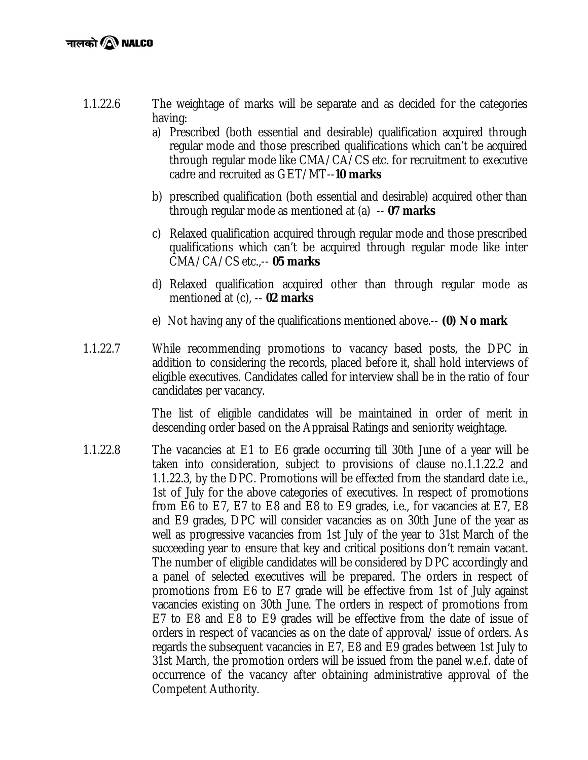# नालको $\,$ ि NALCO

- 1.1.22.6 The weightage of marks will be separate and as decided for the categories having:
	- a) Prescribed (both essential and desirable) qualification acquired through regular mode and those prescribed qualifications which can't be acquired through regular mode like CMA/CA/CS etc. for recruitment to executive cadre and recruited as GET/MT--**10 marks**
	- b) prescribed qualification (both essential and desirable) acquired other than through regular mode as mentioned at (a) -- **07 marks**
	- c) Relaxed qualification acquired through regular mode and those prescribed qualifications which can't be acquired through regular mode like inter CMA/CA/CS etc.,-- **05 marks**
	- d) Relaxed qualification acquired other than through regular mode as mentioned at (c), -- **02 marks**
	- e) Not having any of the qualifications mentioned above.-- **(0) No mark**
- 1.1.22.7 While recommending promotions to vacancy based posts, the DPC in addition to considering the records, placed before it, shall hold interviews of eligible executives. Candidates called for interview shall be in the ratio of four candidates per vacancy.

The list of eligible candidates will be maintained in order of merit in descending order based on the Appraisal Ratings and seniority weightage.

1.1.22.8 The vacancies at E1 to E6 grade occurring till 30th June of a year will be taken into consideration, subject to provisions of clause no.1.1.22.2 and 1.1.22.3, by the DPC. Promotions will be effected from the standard date i.e., 1st of July for the above categories of executives. In respect of promotions from E6 to E7, E7 to E8 and E8 to E9 grades, i.e., for vacancies at E7, E8 and E9 grades, DPC will consider vacancies as on 30th June of the year as well as progressive vacancies from 1st July of the year to 31st March of the succeeding year to ensure that key and critical positions don't remain vacant. The number of eligible candidates will be considered by DPC accordingly and a panel of selected executives will be prepared. The orders in respect of promotions from E6 to E7 grade will be effective from 1st of July against vacancies existing on 30th June. The orders in respect of promotions from E7 to E8 and E8 to E9 grades will be effective from the date of issue of orders in respect of vacancies as on the date of approval/ issue of orders. As regards the subsequent vacancies in E7, E8 and E9 grades between 1st July to 31st March, the promotion orders will be issued from the panel w.e.f. date of occurrence of the vacancy after obtaining administrative approval of the Competent Authority.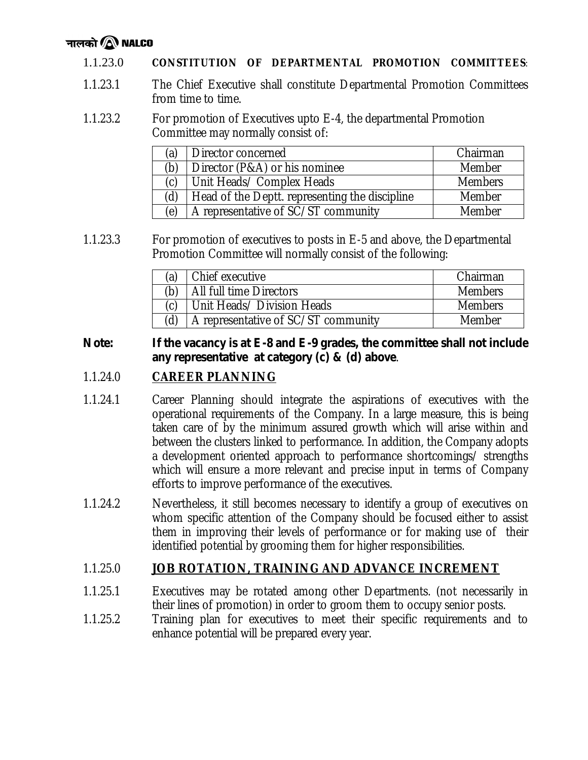# नालको $\,$ ि NALCO

#### 1.1.23.0 **CONSTITUTION OF DEPARTMENTAL PROMOTION COMMITTEES**:

- 1.1.23.1 The Chief Executive shall constitute Departmental Promotion Committees from time to time.
- 1.1.23.2 For promotion of Executives upto E-4, the departmental Promotion Committee may normally consist of:

| (a) | Director concerned                             | Chairman       |
|-----|------------------------------------------------|----------------|
| (b) | Director (P&A) or his nominee                  | Member         |
| (c) | Unit Heads/ Complex Heads                      | <b>Members</b> |
| (d) | Head of the Deptt. representing the discipline | Member         |
| (e) | A representative of SC/ST community            | Member         |

1.1.23.3 For promotion of executives to posts in E-5 and above, the Departmental Promotion Committee will normally consist of the following:

| (a) | Chief executive                     | Chairman       |
|-----|-------------------------------------|----------------|
| (b) | All full time Directors             | <b>Members</b> |
| (ሶ) | Unit Heads/ Division Heads          | <b>Members</b> |
| (ď  | A representative of SC/ST community | Member         |

### *Note: If the vacancy is at E-8 and E-9 grades, the committee shall not include any representative at category (c) & (d) above*.

## 1.1.24.0 **CAREER PLANNING**

- 1.1.24.1 Career Planning should integrate the aspirations of executives with the operational requirements of the Company. In a large measure, this is being taken care of by the minimum assured growth which will arise within and between the clusters linked to performance. In addition, the Company adopts a development oriented approach to performance shortcomings/ strengths which will ensure a more relevant and precise input in terms of Company efforts to improve performance of the executives.
- 1.1.24.2 Nevertheless, it still becomes necessary to identify a group of executives on whom specific attention of the Company should be focused either to assist them in improving their levels of performance or for making use of their identified potential by grooming them for higher responsibilities.

### 1.1.25.0 **JOB ROTATION, TRAINING AND ADVANCE INCREMENT**

- 1.1.25.1 Executives may be rotated among other Departments. (not necessarily in their lines of promotion) in order to groom them to occupy senior posts.
- 1.1.25.2 Training plan for executives to meet their specific requirements and to enhance potential will be prepared every year.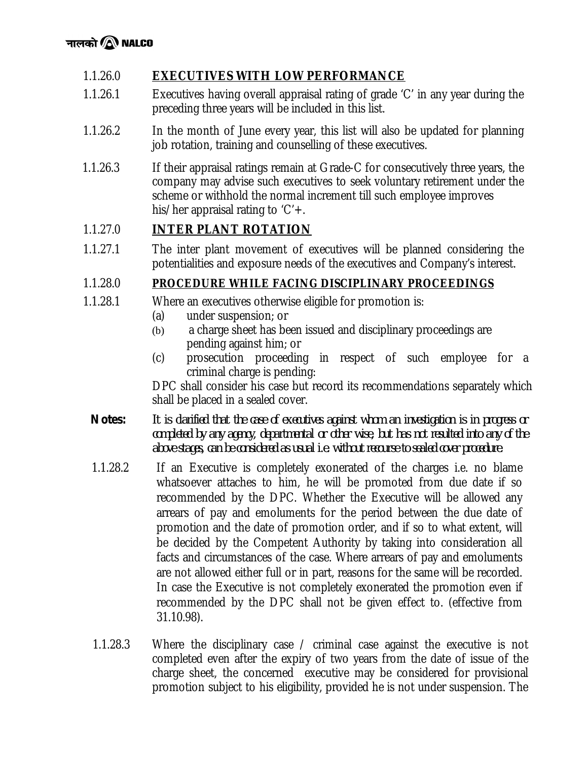# 1.1.26.0 **EXECUTIVES WITH LOW PERFORMANCE**

- 1.1.26.1 Executives having overall appraisal rating of grade 'C' in any year during the preceding three years will be included in this list.
- 1.1.26.2 In the month of June every year, this list will also be updated for planning job rotation, training and counselling of these executives.
- 1.1.26.3 If their appraisal ratings remain at Grade-C for consecutively three years, the company may advise such executives to seek voluntary retirement under the scheme or withhold the normal increment till such employee improves his/her appraisal rating to  $'C' +$ .

# 1.1.27.0 **INTER PLANT ROTATION**

1.1.27.1 The inter plant movement of executives will be planned considering the potentialities and exposure needs of the executives and Company's interest.

## 1.1.28.0 **PROCEDURE WHILE FACING DISCIPLINARY PROCEEDINGS**

- 1.1.28.1 Where an executives otherwise eligible for promotion is:
	- (a) under suspension; or
	- (b) a charge sheet has been issued and disciplinary proceedings are pending against him; or
	- (c) prosecution proceeding in respect of such employee for a criminal charge is pending:

DPC shall consider his case but record its recommendations separately which shall be placed in a sealed cover.

- *Notes: It is clarified that the case of executives against whom an investigation is in progress or completed by any agency, departmental or other wise, but has not resulted into any of the above stages, can be considered as usual i.e. without recourse to sealed cover procedure*.
- 1.1.28.2 If an Executive is completely exonerated of the charges i.e. no blame whatsoever attaches to him, he will be promoted from due date if so recommended by the DPC. Whether the Executive will be allowed any arrears of pay and emoluments for the period between the due date of promotion and the date of promotion order, and if so to what extent, will be decided by the Competent Authority by taking into consideration all facts and circumstances of the case. Where arrears of pay and emoluments are not allowed either full or in part, reasons for the same will be recorded. In case the Executive is not completely exonerated the promotion even if recommended by the DPC shall not be given effect to. (effective from 31.10.98).
- 1.1.28.3 Where the disciplinary case / criminal case against the executive is not completed even after the expiry of two years from the date of issue of the charge sheet, the concerned executive may be considered for provisional promotion subject to his eligibility, provided he is not under suspension. The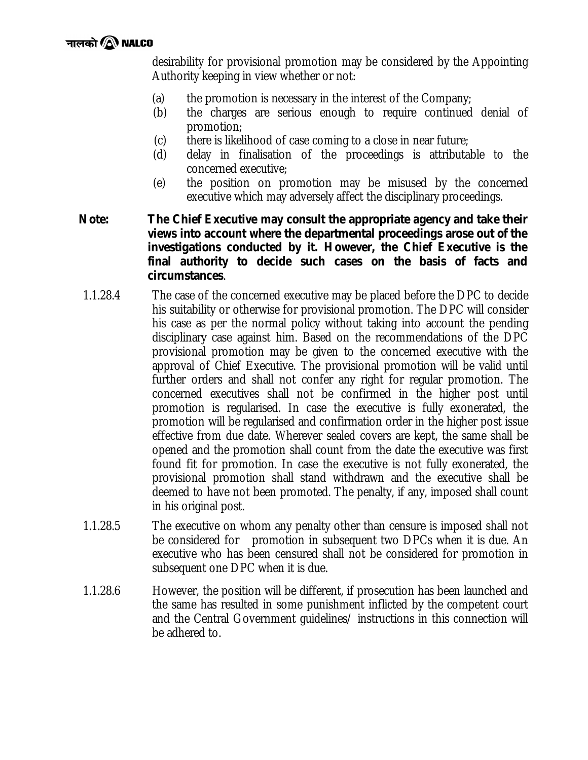desirability for provisional promotion may be considered by the Appointing Authority keeping in view whether or not:

- (a) the promotion is necessary in the interest of the Company;
- (b) the charges are serious enough to require continued denial of promotion;
- (c) there is likelihood of case coming to a close in near future;
- (d) delay in finalisation of the proceedings is attributable to the concerned executive;
- (e) the position on promotion may be misused by the concerned executive which may adversely affect the disciplinary proceedings.

### *Note: The Chief Executive may consult the appropriate agency and take their views into account where the departmental proceedings arose out of the investigations conducted by it. However, the Chief Executive is the final authority to decide such cases on the basis of facts and circumstances*.

- 1.1.28.4 The case of the concerned executive may be placed before the DPC to decide his suitability or otherwise for provisional promotion. The DPC will consider his case as per the normal policy without taking into account the pending disciplinary case against him. Based on the recommendations of the DPC provisional promotion may be given to the concerned executive with the approval of Chief Executive. The provisional promotion will be valid until further orders and shall not confer any right for regular promotion. The concerned executives shall not be confirmed in the higher post until promotion is regularised. In case the executive is fully exonerated, the promotion will be regularised and confirmation order in the higher post issue effective from due date. Wherever sealed covers are kept, the same shall be opened and the promotion shall count from the date the executive was first found fit for promotion. In case the executive is not fully exonerated, the provisional promotion shall stand withdrawn and the executive shall be deemed to have not been promoted. The penalty, if any, imposed shall count in his original post.
- 1.1.28.5 The executive on whom any penalty other than censure is imposed shall not be considered for promotion in subsequent two DPCs when it is due. An executive who has been censured shall not be considered for promotion in subsequent one DPC when it is due.
- 1.1.28.6 However, the position will be different, if prosecution has been launched and the same has resulted in some punishment inflicted by the competent court and the Central Government guidelines/ instructions in this connection will be adhered to.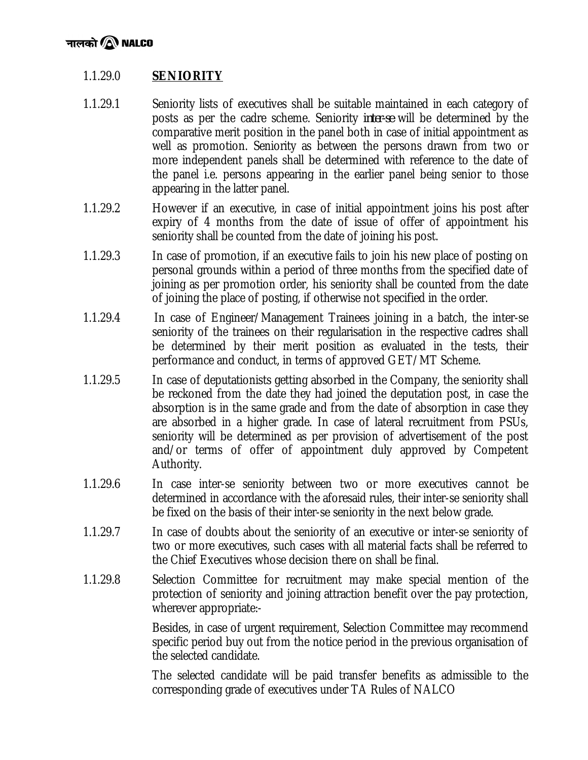# 1.1.29.0 **SENIORITY**

- 1.1.29.1 Seniority lists of executives shall be suitable maintained in each category of posts as per the cadre scheme. Seniority *inter-se* will be determined by the comparative merit position in the panel both in case of initial appointment as well as promotion. Seniority as between the persons drawn from two or more independent panels shall be determined with reference to the date of the panel i.e. persons appearing in the earlier panel being senior to those appearing in the latter panel.
- 1.1.29.2 However if an executive, in case of initial appointment joins his post after expiry of 4 months from the date of issue of offer of appointment his seniority shall be counted from the date of joining his post.
- 1.1.29.3 In case of promotion, if an executive fails to join his new place of posting on personal grounds within a period of three months from the specified date of joining as per promotion order, his seniority shall be counted from the date of joining the place of posting, if otherwise not specified in the order.
- 1.1.29.4 In case of Engineer/Management Trainees joining in a batch, the inter-se seniority of the trainees on their regularisation in the respective cadres shall be determined by their merit position as evaluated in the tests, their performance and conduct, in terms of approved GET/MT Scheme.
- 1.1.29.5 In case of deputationists getting absorbed in the Company, the seniority shall be reckoned from the date they had joined the deputation post, in case the absorption is in the same grade and from the date of absorption in case they are absorbed in a higher grade. In case of lateral recruitment from PSUs, seniority will be determined as per provision of advertisement of the post and/or terms of offer of appointment duly approved by Competent Authority.
- 1.1.29.6 In case inter-se seniority between two or more executives cannot be determined in accordance with the aforesaid rules, their inter-se seniority shall be fixed on the basis of their inter-se seniority in the next below grade.
- 1.1.29.7 In case of doubts about the seniority of an executive or inter-se seniority of two or more executives, such cases with all material facts shall be referred to the Chief Executives whose decision there on shall be final.
- 1.1.29.8 Selection Committee for recruitment may make special mention of the protection of seniority and joining attraction benefit over the pay protection, wherever appropriate:-

Besides, in case of urgent requirement, Selection Committee may recommend specific period buy out from the notice period in the previous organisation of the selected candidate.

The selected candidate will be paid transfer benefits as admissible to the corresponding grade of executives under TA Rules of NALCO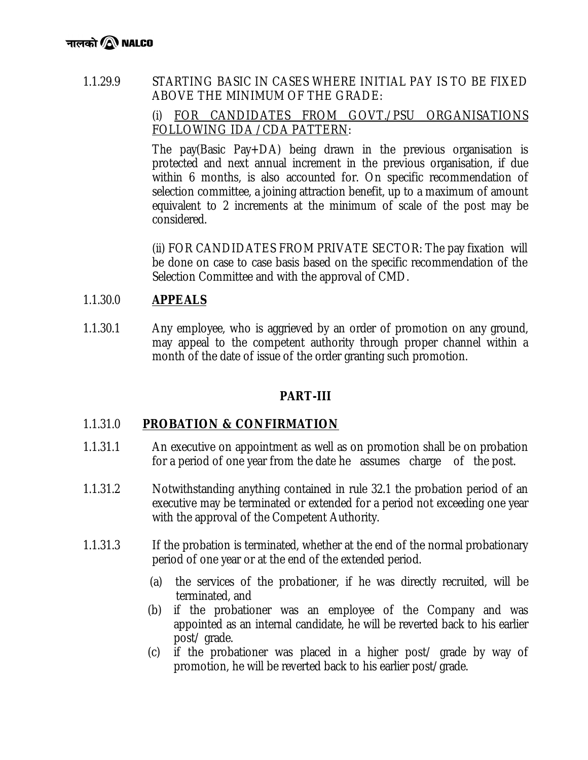# 1.1.29.9 STARTING BASIC IN CASES WHERE INITIAL PAY IS TO BE FIXED ABOVE THE MINIMUM OF THE GRADE:

# (i) FOR CANDIDATES FROM GOVT./PSU ORGANISATIONS FOLLOWING IDA /CDA PATTERN:

The pay(Basic Pay+DA) being drawn in the previous organisation is protected and next annual increment in the previous organisation, if due within 6 months, is also accounted for. On specific recommendation of selection committee, a joining attraction benefit, up to a maximum of amount equivalent to 2 increments at the minimum of scale of the post may be considered.

(ii) FOR CANDIDATES FROM PRIVATE SECTOR: The pay fixation will be done on case to case basis based on the specific recommendation of the Selection Committee and with the approval of CMD.

# 1.1.30.0 **APPEALS**

1.1.30.1 Any employee, who is aggrieved by an order of promotion on any ground, may appeal to the competent authority through proper channel within a month of the date of issue of the order granting such promotion.

# **PART-III**

# 1.1.31.0 **PROBATION & CONFIRMATION**

- 1.1.31.1 An executive on appointment as well as on promotion shall be on probation for a period of one year from the date he assumes charge of the post.
- 1.1.31.2 Notwithstanding anything contained in rule 32.1 the probation period of an executive may be terminated or extended for a period not exceeding one year with the approval of the Competent Authority.
- 1.1.31.3 If the probation is terminated, whether at the end of the normal probationary period of one year or at the end of the extended period.
	- (a) the services of the probationer, if he was directly recruited, will be terminated, and
	- (b) if the probationer was an employee of the Company and was appointed as an internal candidate, he will be reverted back to his earlier post/ grade.
	- (c) if the probationer was placed in a higher post/ grade by way of promotion, he will be reverted back to his earlier post/grade.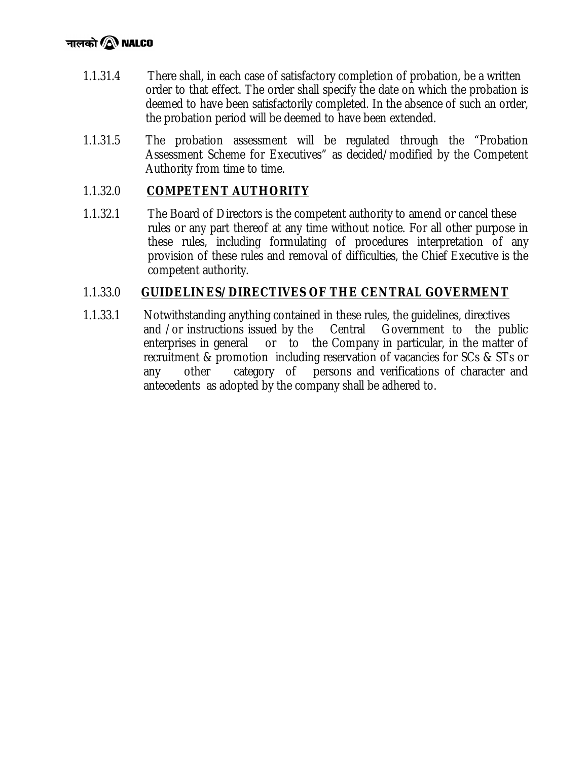# नालको $\bigcircledR$  NALCO

- 1.1.31.4 There shall, in each case of satisfactory completion of probation, be a written order to that effect. The order shall specify the date on which the probation is deemed to have been satisfactorily completed. In the absence of such an order, the probation period will be deemed to have been extended.
- 1.1.31.5 The probation assessment will be regulated through the "Probation Assessment Scheme for Executives" as decided/modified by the Competent Authority from time to time.

# 1.1.32.0 **COMPETENT AUTHORITY**

1.1.32.1 The Board of Directors is the competent authority to amend or cancel these rules or any part thereof at any time without notice. For all other purpose in these rules, including formulating of procedures interpretation of any provision of these rules and removal of difficulties, the Chief Executive is the competent authority.

## 1.1.33.0 **GUIDELINES/DIRECTIVES OF THE CENTRAL GOVERMENT**

1.1.33.1 Notwithstanding anything contained in these rules, the guidelines, directives and /or instructions issued by the Central Government to the public enterprises in general or to the Company in particular, in the matter of recruitment & promotion including reservation of vacancies for SCs & STs or any other category of persons and verifications of character and antecedents as adopted by the company shall be adhered to.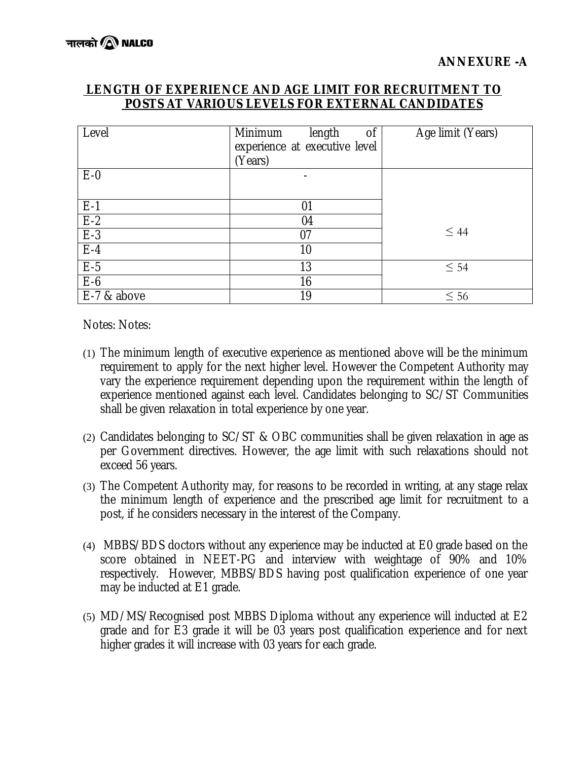## **LENGTH OF EXPERIENCE AND AGE LIMIT FOR RECRUITMENT TO POSTS AT VARIOUS LEVELS FOR EXTERNAL CANDIDATES**

| Level                                  | Minimum<br>length<br>0f<br>experience at executive level<br>(Years) | Age limit (Years) |
|----------------------------------------|---------------------------------------------------------------------|-------------------|
| $E-0$                                  |                                                                     |                   |
|                                        | 01                                                                  |                   |
|                                        | 04                                                                  |                   |
|                                        | 07                                                                  | $\leq 44$         |
| $\frac{E-1}{E-2}$<br>$\frac{E-3}{E-4}$ | 10                                                                  |                   |
| $E-5$                                  | 13                                                                  | $\leq 54$         |
| $E-6$                                  | 16                                                                  |                   |
| E-7 & above                            | 19                                                                  | $\leq 56$         |

Notes: Notes:

- (1) The minimum length of executive experience as mentioned above will be the minimum requirement to apply for the next higher level. However the Competent Authority may vary the experience requirement depending upon the requirement within the length of experience mentioned against each level. Candidates belonging to SC/ST Communities shall be given relaxation in total experience by one year.
- (2) Candidates belonging to SC/ST & OBC communities shall be given relaxation in age as per Government directives. However, the age limit with such relaxations should not exceed 56 years.
- (3) The Competent Authority may, for reasons to be recorded in writing, at any stage relax the minimum length of experience and the prescribed age limit for recruitment to a post, if he considers necessary in the interest of the Company.
- (4) MBBS/BDS doctors without any experience may be inducted at E0 grade based on the score obtained in NEET-PG and interview with weightage of 90% and 10% respectively. However, MBBS/BDS having post qualification experience of one year may be inducted at E1 grade.
- (5) MD/MS/Recognised post MBBS Diploma without any experience will inducted at E2 grade and for E3 grade it will be 03 years post qualification experience and for next higher grades it will increase with 03 years for each grade.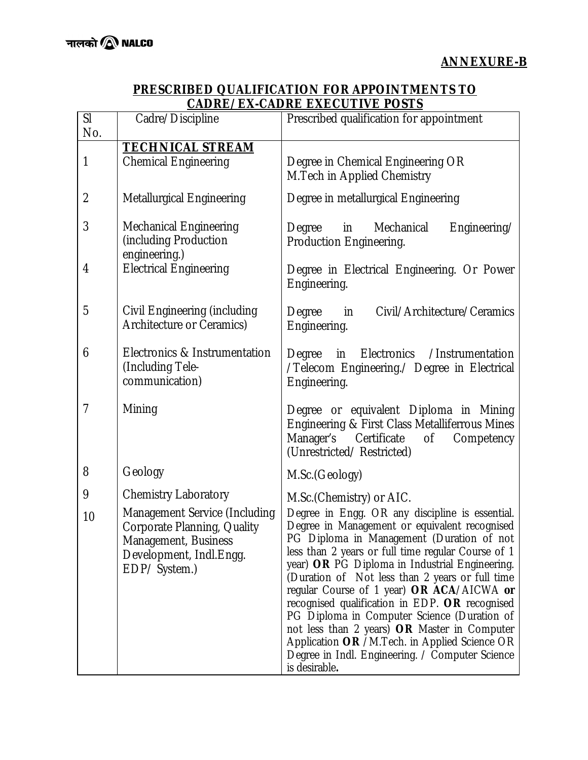#### **PRESCRIBED QUALIFICATION FOR APPOINTMENTS TO CADRE/EX-CADRE EXECUTIVE POSTS**

| $\overline{\text{SI}}$<br>No. | Cadre/Discipline                                                                                                                  | Prescribed qualification for appointment                                                                                                                                                                                                                                                                                                                                                                                                                                                                                                                                                                                    |
|-------------------------------|-----------------------------------------------------------------------------------------------------------------------------------|-----------------------------------------------------------------------------------------------------------------------------------------------------------------------------------------------------------------------------------------------------------------------------------------------------------------------------------------------------------------------------------------------------------------------------------------------------------------------------------------------------------------------------------------------------------------------------------------------------------------------------|
|                               | <b>TECHNICAL STREAM</b>                                                                                                           |                                                                                                                                                                                                                                                                                                                                                                                                                                                                                                                                                                                                                             |
| $\mathbf{1}$                  | <b>Chemical Engineering</b>                                                                                                       | Degree in Chemical Engineering OR<br>M. Tech in Applied Chemistry                                                                                                                                                                                                                                                                                                                                                                                                                                                                                                                                                           |
| $\overline{2}$                | <b>Metallurgical Engineering</b>                                                                                                  | Degree in metallurgical Engineering                                                                                                                                                                                                                                                                                                                                                                                                                                                                                                                                                                                         |
| 3                             | <b>Mechanical Engineering</b><br>(including Production<br>engineering.)                                                           | Degree in<br>Mechanical<br>Engineering/<br>Production Engineering.                                                                                                                                                                                                                                                                                                                                                                                                                                                                                                                                                          |
| 4                             | <b>Electrical Engineering</b>                                                                                                     | Degree in Electrical Engineering. Or Power<br>Engineering.                                                                                                                                                                                                                                                                                                                                                                                                                                                                                                                                                                  |
| 5                             | Civil Engineering (including<br>Architecture or Ceramics)                                                                         | Civil/Architecture/Ceramics<br>Degree<br>in<br>Engineering.                                                                                                                                                                                                                                                                                                                                                                                                                                                                                                                                                                 |
| 6                             | Electronics & Instrumentation<br>(Including Tele-<br>communication)                                                               | Degree in Electronics /Instrumentation<br>/Telecom Engineering./ Degree in Electrical<br>Engineering.                                                                                                                                                                                                                                                                                                                                                                                                                                                                                                                       |
| $\overline{1}$                | Mining                                                                                                                            | Degree or equivalent Diploma in Mining<br>Engineering & First Class Metalliferrous Mines<br>Certificate<br>Manager's<br>of<br>Competency<br>(Unrestricted/Restricted)                                                                                                                                                                                                                                                                                                                                                                                                                                                       |
| 8                             | Geology                                                                                                                           | M.Sc.(Geology)                                                                                                                                                                                                                                                                                                                                                                                                                                                                                                                                                                                                              |
| 9                             | <b>Chemistry Laboratory</b>                                                                                                       | M.Sc.(Chemistry) or AIC.                                                                                                                                                                                                                                                                                                                                                                                                                                                                                                                                                                                                    |
| 10                            | Management Service (Including<br>Corporate Planning, Quality<br>Management, Business<br>Development, Indl. Engg.<br>EDP/ System.) | Degree in Engg. OR any discipline is essential.<br>Degree in Management or equivalent recognised<br>PG Diploma in Management (Duration of not<br>less than 2 years or full time regular Course of 1<br>year) OR PG Diploma in Industrial Engineering.<br>(Duration of Not less than 2 years or full time<br>regular Course of 1 year) OR ACA/AICWA or<br>recognised qualification in EDP. OR recognised<br>PG Diploma in Computer Science (Duration of<br>not less than 2 years) OR Master in Computer<br>Application OR /M.Tech. in Applied Science OR<br>Degree in Indl. Engineering. / Computer Science<br>is desirable. |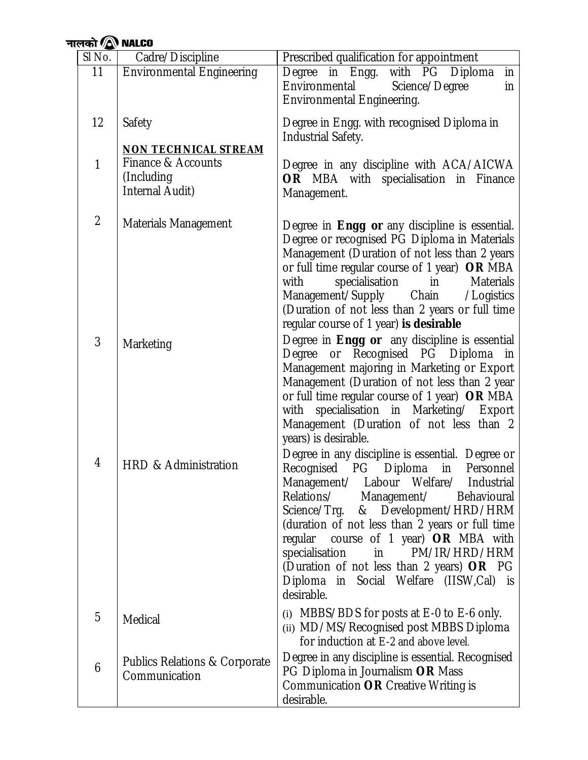| नालको $\bigcirc$ NALCO |                                                             |                                                                                                                                                                                                                                                                                                                                                                                                                                                               |  |
|------------------------|-------------------------------------------------------------|---------------------------------------------------------------------------------------------------------------------------------------------------------------------------------------------------------------------------------------------------------------------------------------------------------------------------------------------------------------------------------------------------------------------------------------------------------------|--|
| SI No.                 | Cadre/Discipline                                            | Prescribed qualification for appointment                                                                                                                                                                                                                                                                                                                                                                                                                      |  |
| 11                     | <b>Environmental Engineering</b>                            | Degree in Engg. with PG Diploma<br>in<br>Environmental<br>Science/Degree<br>in<br><b>Environmental Engineering.</b>                                                                                                                                                                                                                                                                                                                                           |  |
| 12                     | Safety<br><b>NON TECHNICAL STREAM</b>                       | Degree in Engg. with recognised Diploma in<br><b>Industrial Safety.</b>                                                                                                                                                                                                                                                                                                                                                                                       |  |
| $\mathbf{1}$           | Finance & Accounts<br>(Including)<br><b>Internal Audit)</b> | Degree in any discipline with ACA/AICWA<br>OR MBA with specialisation in Finance<br>Management.                                                                                                                                                                                                                                                                                                                                                               |  |
| $\overline{2}$         | <b>Materials Management</b>                                 | Degree in Engg or any discipline is essential.<br>Degree or recognised PG Diploma in Materials<br>Management (Duration of not less than 2 years<br>or full time regular course of 1 year) OR MBA<br>specialisation<br>Materials<br>with<br>$\mathsf{in}$<br>Management/Supply<br>Chain<br>/Logistics<br>(Duration of not less than 2 years or full time<br>regular course of 1 year) is desirable                                                             |  |
| 3                      | Marketing                                                   | Degree in Engg or any discipline is essential<br>Degree or Recognised PG Diploma in<br>Management majoring in Marketing or Export<br>Management (Duration of not less than 2 year<br>or full time regular course of 1 year) OR MBA<br>with specialisation in Marketing/ Export<br>Management (Duration of not less than 2<br>years) is desirable.                                                                                                             |  |
| 4                      | HRD & Administration                                        | Degree in any discipline is essential. Degree or<br>Recognised PG Diploma<br>in<br>Personnel<br>Management/ Labour Welfare/ Industrial<br>Relations/ Management/<br>Behavioural<br>Science/Trg. & Development/HRD/HRM<br>(duration of not less than 2 years or full time<br>regular course of 1 year) OR MBA with<br>specialisation<br>in PM/IR/HRD/HRM<br>(Duration of not less than 2 years) OR PG<br>Diploma in Social Welfare (IISW,Cal) is<br>desirable. |  |
| 5                      | Medical                                                     | (i) MBBS/BDS for posts at E-0 to E-6 only.<br>(ii) MD/MS/Recognised post MBBS Diploma<br>for induction at E-2 and above level.                                                                                                                                                                                                                                                                                                                                |  |
| 6                      | <b>Publics Relations &amp; Corporate</b><br>Communication   | Degree in any discipline is essential. Recognised<br>PG Diploma in Journalism OR Mass<br>Communication OR Creative Writing is<br>desirable.                                                                                                                                                                                                                                                                                                                   |  |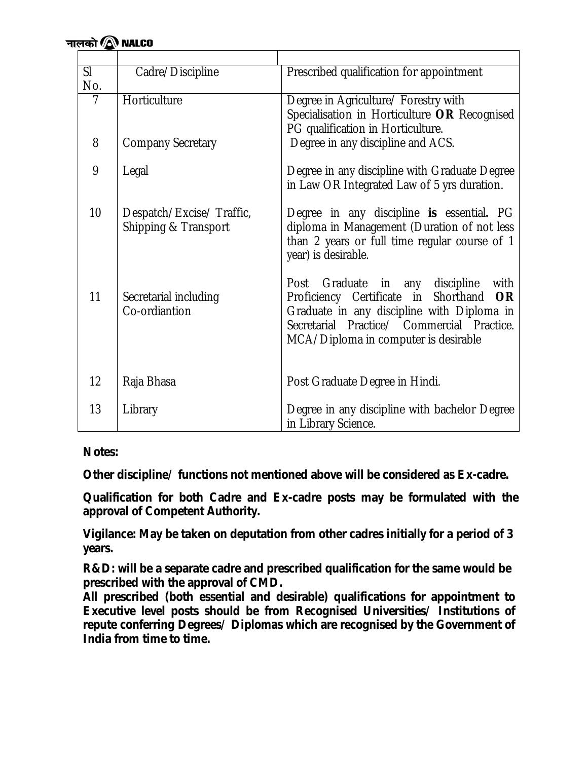| SI<br>No.      | Cadre/Discipline                                 | Prescribed qualification for appointment                                                                                                                                                                                         |
|----------------|--------------------------------------------------|----------------------------------------------------------------------------------------------------------------------------------------------------------------------------------------------------------------------------------|
| $\overline{7}$ | Horticulture                                     | Degree in Agriculture/ Forestry with<br>Specialisation in Horticulture OR Recognised<br>PG qualification in Horticulture.                                                                                                        |
| 8              | <b>Company Secretary</b>                         | Degree in any discipline and ACS.                                                                                                                                                                                                |
| 9              | Legal                                            | Degree in any discipline with Graduate Degree<br>in Law OR Integrated Law of 5 yrs duration.                                                                                                                                     |
| 10             | Despatch/Excise/Traffic,<br>Shipping & Transport | Degree in any discipline is essential. PG<br>diploma in Management (Duration of not less<br>than 2 years or full time regular course of 1<br>year) is desirable.                                                                 |
| 11             | Secretarial including<br>Co-ordiantion           | Post Graduate in any discipline<br>with<br>Proficiency Certificate in Shorthand<br><b>OR</b><br>Graduate in any discipline with Diploma in<br>Secretarial Practice/ Commercial Practice.<br>MCA/Diploma in computer is desirable |
| 12             | Raja Bhasa                                       | Post Graduate Degree in Hindi.                                                                                                                                                                                                   |
| 13             | Library                                          | Degree in any discipline with bachelor Degree<br>in Library Science.                                                                                                                                                             |

*Notes:*

*Other discipline/ functions not mentioned above will be considered as Ex-cadre.* 

*Qualification for both Cadre and Ex-cadre posts may be formulated with the approval of Competent Authority.* 

*Vigilance: May be taken on deputation from other cadres initially for a period of 3 years.*

*R&D: will be a separate cadre and prescribed qualification for the same would be prescribed with the approval of CMD.*

*All prescribed (both essential and desirable) qualifications for appointment to Executive level posts should be from Recognised Universities/ Institutions of repute conferring Degrees/ Diplomas which are recognised by the Government of India from time to time.*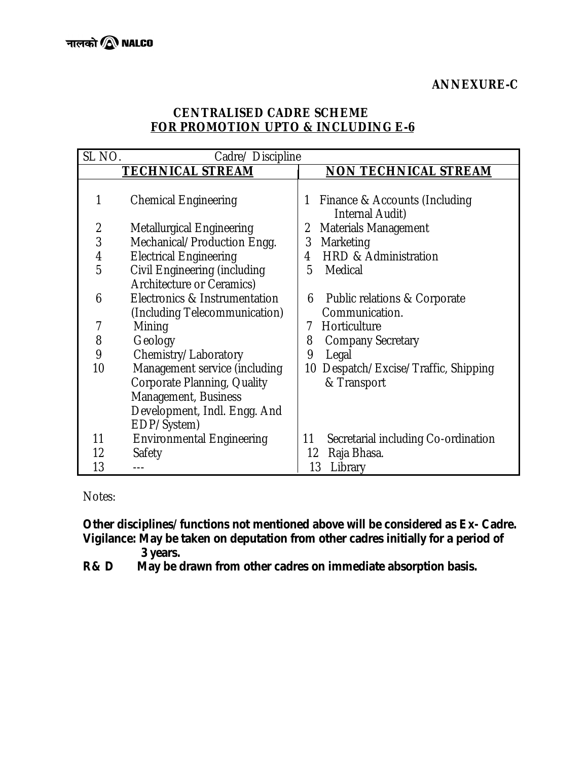# **CENTRALISED CADRE SCHEME FOR PROMOTION UPTO & INCLUDING E-6**

| SL NO.         | Cadre/ Discipline                                                                                                                   |                                                       |
|----------------|-------------------------------------------------------------------------------------------------------------------------------------|-------------------------------------------------------|
|                | <b>TECHNICAL STREAM</b>                                                                                                             | <b>NON TECHNICAL STREAM</b>                           |
|                | <b>Chemical Engineering</b>                                                                                                         | Finance & Accounts (Including<br>1<br>Internal Audit) |
| $\overline{2}$ | <b>Metallurgical Engineering</b>                                                                                                    | <b>Materials Management</b><br>2                      |
| 3              | Mechanical/Production Engg.                                                                                                         | 3<br>Marketing                                        |
| $\overline{4}$ | <b>Electrical Engineering</b>                                                                                                       | <b>HRD &amp; Administration</b><br>4                  |
| 5              | Civil Engineering (including<br>Architecture or Ceramics)                                                                           | Medical<br>5                                          |
| 6              | Electronics & Instrumentation<br>(Including Telecommunication)                                                                      | Public relations & Corporate<br>6<br>Communication.   |
| 7              | Mining                                                                                                                              | Horticulture<br>7                                     |
| 8              | Geology                                                                                                                             | 8<br><b>Company Secretary</b>                         |
| 9              | Chemistry/Laboratory                                                                                                                | 9<br>Legal                                            |
| 10             | Management service (including<br>Corporate Planning, Quality<br>Management, Business<br>Development, Indl. Engg. And<br>EDP/System) | 10 Despatch/Excise/Traffic, Shipping<br>& Transport   |
| 11             | <b>Environmental Engineering</b>                                                                                                    | Secretarial including Co-ordination<br>11             |
| 12             | Safety                                                                                                                              | Raja Bhasa.<br>12                                     |
| 13             |                                                                                                                                     | 13<br>Library                                         |

Notes:

*Other disciplines/functions not mentioned above will be considered as Ex- Cadre. Vigilance: May be taken on deputation from other cadres initially for a period of* 

<sup>3</sup> years.<br>R& D May be d *R& D May be drawn from other cadres on immediate absorption basis.*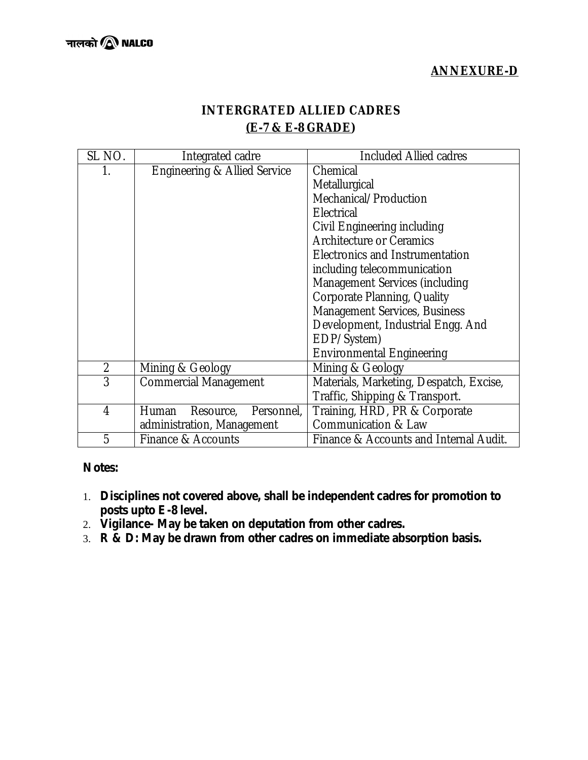# **ANNEXURE-D**

# **INTERGRATED ALLIED CADRES (E-7 & E-8 GRADE)**

| SL NO.         | Integrated cadre                        | <b>Included Allied cadres</b>           |
|----------------|-----------------------------------------|-----------------------------------------|
|                | <b>Engineering &amp; Allied Service</b> | Chemical                                |
|                |                                         | Metallurgical                           |
|                |                                         | Mechanical/Production                   |
|                |                                         | Electrical                              |
|                |                                         | Civil Engineering including             |
|                |                                         | <b>Architecture or Ceramics</b>         |
|                |                                         | Electronics and Instrumentation         |
|                |                                         | including telecommunication             |
|                |                                         | Management Services (including          |
|                |                                         | Corporate Planning, Quality             |
|                |                                         | Management Services, Business           |
|                |                                         | Development, Industrial Engg. And       |
|                |                                         | EDP/System)                             |
|                |                                         | <b>Environmental Engineering</b>        |
| $\overline{2}$ | Mining & Geology                        | Mining & Geology                        |
| 3              | <b>Commercial Management</b>            | Materials, Marketing, Despatch, Excise, |
|                |                                         | Traffic, Shipping & Transport.          |
| 4              | Personnel,<br>Resource,<br>Human        | Training, HRD, PR & Corporate           |
|                | administration, Management              | <b>Communication &amp; Law</b>          |
| 5              | Finance & Accounts                      | Finance & Accounts and Internal Audit.  |

#### *Notes:*

- 1. *Disciplines not covered above, shall be independent cadres for promotion to posts upto E-8 level.*
- 2. *Vigilance- May be taken on deputation from other cadres.*
- 3. *R & D: May be drawn from other cadres on immediate absorption basis.*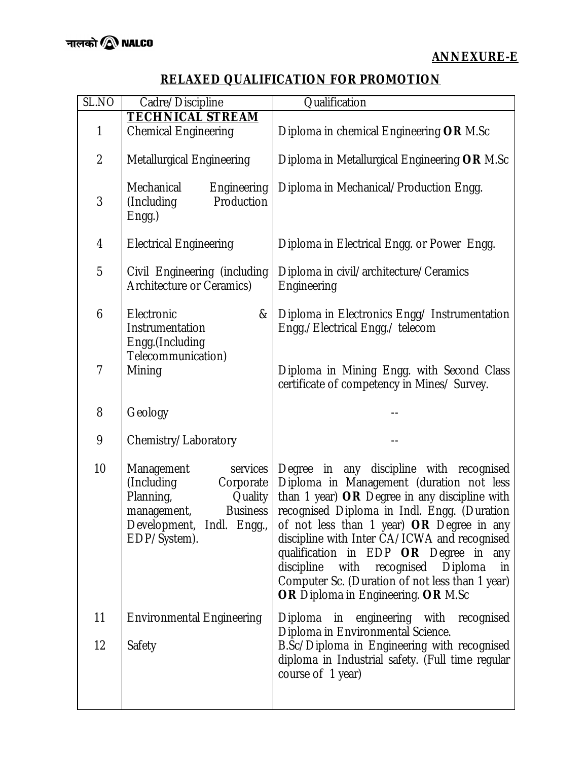# **RELAXED QUALIFICATION FOR PROMOTION**

| SL.NO          | Cadre/Discipline                                                                                                                                         | Qualification                                                                                                                                                                                                                                                                                                                                                                                                                                                      |
|----------------|----------------------------------------------------------------------------------------------------------------------------------------------------------|--------------------------------------------------------------------------------------------------------------------------------------------------------------------------------------------------------------------------------------------------------------------------------------------------------------------------------------------------------------------------------------------------------------------------------------------------------------------|
|                | <b>TECHNICAL STREAM</b>                                                                                                                                  |                                                                                                                                                                                                                                                                                                                                                                                                                                                                    |
| 1              | <b>Chemical Engineering</b>                                                                                                                              | Diploma in chemical Engineering OR M.Sc                                                                                                                                                                                                                                                                                                                                                                                                                            |
| $\overline{2}$ | <b>Metallurgical Engineering</b>                                                                                                                         | Diploma in Metallurgical Engineering OR M.Sc                                                                                                                                                                                                                                                                                                                                                                                                                       |
| 3              | Mechanical<br>Engineering<br>(Including<br>Production<br>$Engg.$ )                                                                                       | Diploma in Mechanical/Production Engg.                                                                                                                                                                                                                                                                                                                                                                                                                             |
| 4              | <b>Electrical Engineering</b>                                                                                                                            | Diploma in Electrical Engg. or Power Engg.                                                                                                                                                                                                                                                                                                                                                                                                                         |
| 5              | Civil Engineering (including<br>Architecture or Ceramics)                                                                                                | Diploma in civil/architecture/Ceramics<br>Engineering                                                                                                                                                                                                                                                                                                                                                                                                              |
| 6              | &<br>Electronic<br>Instrumentation<br>Engg.(Including                                                                                                    | Diploma in Electronics Engg/ Instrumentation<br>Engg./Electrical Engg./ telecom                                                                                                                                                                                                                                                                                                                                                                                    |
| $\overline{1}$ | Telecommunication)<br>Mining                                                                                                                             | Diploma in Mining Engg. with Second Class<br>certificate of competency in Mines/ Survey.                                                                                                                                                                                                                                                                                                                                                                           |
| 8              | Geology                                                                                                                                                  |                                                                                                                                                                                                                                                                                                                                                                                                                                                                    |
| 9              | Chemistry/Laboratory                                                                                                                                     |                                                                                                                                                                                                                                                                                                                                                                                                                                                                    |
| 10             | Management<br>services<br>(Including<br>Corporate<br>Planning,<br>Quality<br>management,<br><b>Business</b><br>Development, Indl. Engg.,<br>EDP/System). | Degree in any discipline with recognised<br>Diploma in Management (duration not less<br>than 1 year) OR Degree in any discipline with<br>recognised Diploma in Indl. Engg. (Duration<br>of not less than 1 year) OR Degree in any<br>discipline with Inter CA/ICWA and recognised<br>qualification in EDP OR Degree in any<br>discipline with recognised<br>Diploma<br>in<br>Computer Sc. (Duration of not less than 1 year)<br>OR Diploma in Engineering. OR M.Sc |
| 11             | <b>Environmental Engineering</b>                                                                                                                         | Diploma in engineering with recognised                                                                                                                                                                                                                                                                                                                                                                                                                             |
| 12             | Safety                                                                                                                                                   | Diploma in Environmental Science.<br>B.Sc/Diploma in Engineering with recognised<br>diploma in Industrial safety. (Full time regular<br>course of 1 year)                                                                                                                                                                                                                                                                                                          |
|                |                                                                                                                                                          |                                                                                                                                                                                                                                                                                                                                                                                                                                                                    |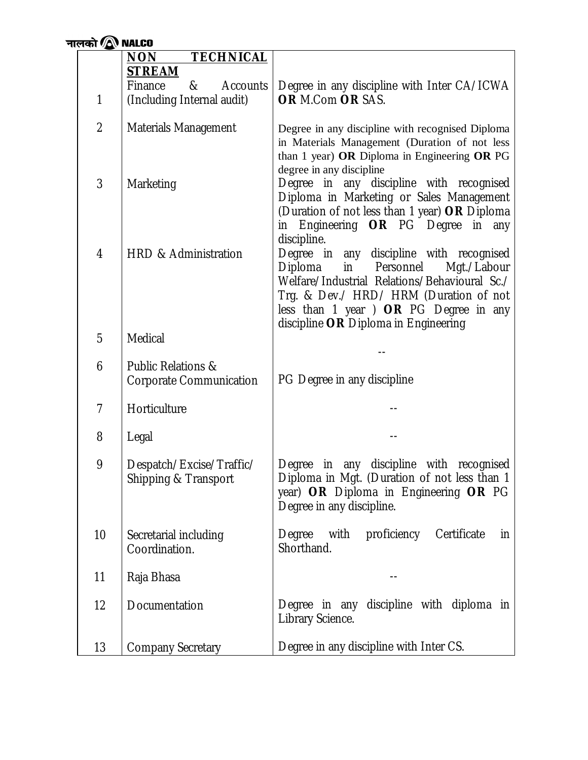| नालको $\,\blacksquare\,$ <code>NALCO</code> |                                                                 |                                                                                                                                                                                                                                                                    |
|---------------------------------------------|-----------------------------------------------------------------|--------------------------------------------------------------------------------------------------------------------------------------------------------------------------------------------------------------------------------------------------------------------|
|                                             | <b>NON</b><br><b>TECHNICAL</b>                                  |                                                                                                                                                                                                                                                                    |
|                                             | <b>STREAM</b>                                                   |                                                                                                                                                                                                                                                                    |
|                                             | Finance<br><b>Accounts</b><br>&                                 | Degree in any discipline with Inter CA/ICWA                                                                                                                                                                                                                        |
| 1                                           | (Including Internal audit)                                      | OR M.Com OR SAS.                                                                                                                                                                                                                                                   |
| $\overline{2}$                              | Materials Management                                            | Degree in any discipline with recognised Diploma<br>in Materials Management (Duration of not less<br>than 1 year) OR Diploma in Engineering OR PG<br>degree in any discipline                                                                                      |
| 3                                           | Marketing                                                       | Degree in any discipline with recognised<br>Diploma in Marketing or Sales Management<br>(Duration of not less than 1 year) OR Diploma<br>in Engineering OR PG Degree in any<br>discipline.                                                                         |
| 4                                           | <b>HRD &amp; Administration</b>                                 | Degree in any discipline with recognised<br>Diploma<br>in<br>Personnel<br>Mgt./Labour<br>Welfare/Industrial Relations/Behavioural Sc./<br>Trg. & Dev./ HRD/ HRM (Duration of not<br>less than 1 year ) OR PG Degree in any<br>discipline OR Diploma in Engineering |
| 5                                           | <b>Medical</b>                                                  |                                                                                                                                                                                                                                                                    |
|                                             |                                                                 |                                                                                                                                                                                                                                                                    |
| 6                                           | <b>Public Relations &amp;</b><br><b>Corporate Communication</b> | PG Degree in any discipline                                                                                                                                                                                                                                        |
| $\overline{1}$                              | Horticulture                                                    |                                                                                                                                                                                                                                                                    |
| 8                                           | Legal                                                           |                                                                                                                                                                                                                                                                    |
| 9                                           | Despatch/Excise/Traffic/<br>Shipping & Transport                | Degree in any discipline with recognised<br>Diploma in Mgt. (Duration of not less than 1<br>year) OR Diploma in Engineering OR PG<br>Degree in any discipline.                                                                                                     |
| 10                                          | Secretarial including<br>Coordination.                          | with<br>proficiency<br>Degree<br>Certificate<br>in<br>Shorthand.                                                                                                                                                                                                   |
| 11                                          | Raja Bhasa                                                      |                                                                                                                                                                                                                                                                    |
| 12                                          | Documentation                                                   | Degree in any discipline with diploma in<br>Library Science.                                                                                                                                                                                                       |
| 13                                          | <b>Company Secretary</b>                                        | Degree in any discipline with Inter CS.                                                                                                                                                                                                                            |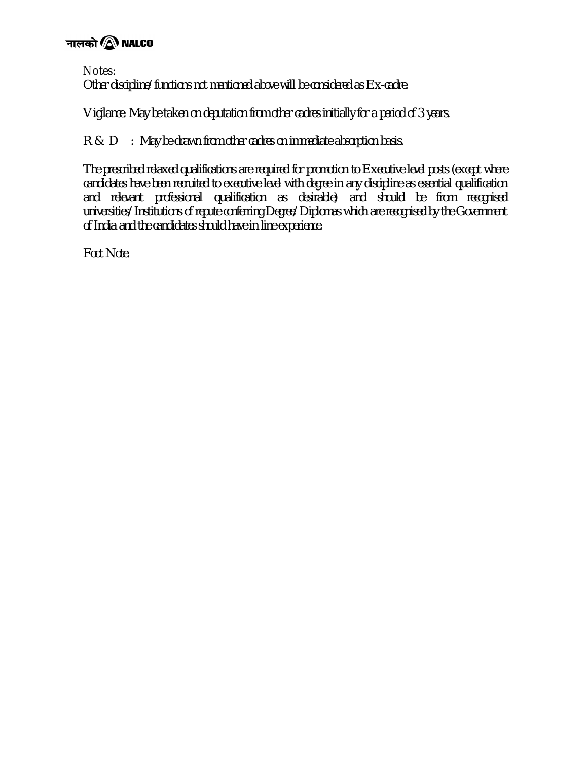# नालको $\circledR$  NALCO

Notes:

*Other discipline/functions not mentioned above will be considered as Ex-cadre.*

*Vigilance: May be taken on deputation from other cadres initially for a period of 3 years.*

*R & D : May be drawn from other cadres on immediate absorption basis.*

*The prescribed relaxed qualifications are required for promotion to Executive level posts (except where candidates have been recruited to executive level with degree in any discipline as essential qualification and relevant professional qualification as desirable) and should be from recognised universities/Institutions of repute conferring Degree/Diplomas which are recognised by the Government of India and the candidates should have in line experience.*

*Foot Note:*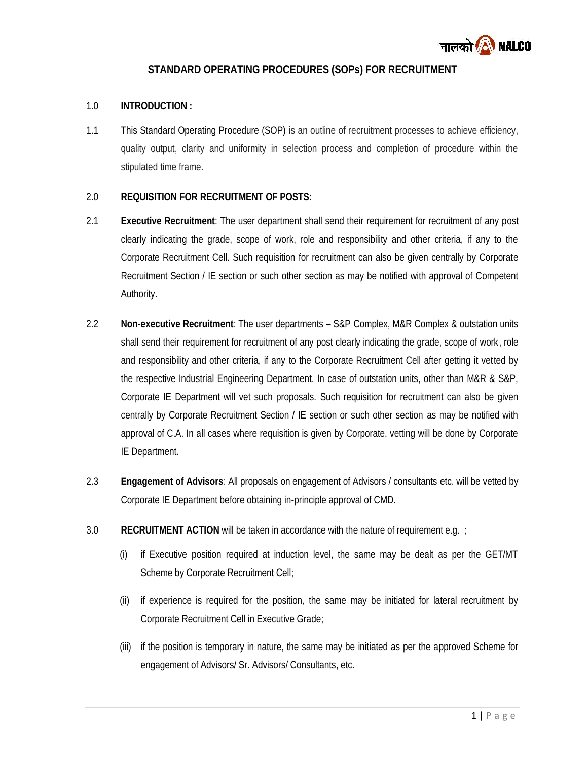

#### **STANDARD OPERATING PROCEDURES (SOPs) FOR RECRUITMENT**

#### 1.0 **INTRODUCTION :**

1.1 This Standard Operating Procedure (SOP) is an outline of recruitment processes to achieve efficiency, quality output, clarity and uniformity in selection process and completion of procedure within the stipulated time frame.

#### 2.0 **REQUISITION FOR RECRUITMENT OF POSTS**:

- 2.1 **Executive Recruitment**: The user department shall send their requirement for recruitment of any post clearly indicating the grade, scope of work, role and responsibility and other criteria, if any to the Corporate Recruitment Cell. Such requisition for recruitment can also be given centrally by Corporate Recruitment Section / IE section or such other section as may be notified with approval of Competent Authority.
- 2.2 **Non-executive Recruitment**: The user departments S&P Complex, M&R Complex & outstation units shall send their requirement for recruitment of any post clearly indicating the grade, scope of work, role and responsibility and other criteria, if any to the Corporate Recruitment Cell after getting it vetted by the respective Industrial Engineering Department. In case of outstation units, other than M&R & S&P, Corporate IE Department will vet such proposals. Such requisition for recruitment can also be given centrally by Corporate Recruitment Section / IE section or such other section as may be notified with approval of C.A. In all cases where requisition is given by Corporate, vetting will be done by Corporate IE Department.
- 2.3 **Engagement of Advisors**: All proposals on engagement of Advisors / consultants etc. will be vetted by Corporate IE Department before obtaining in-principle approval of CMD.
- 3.0 **RECRUITMENT ACTION** will be taken in accordance with the nature of requirement e.g. ;
	- (i) if Executive position required at induction level, the same may be dealt as per the GET/MT Scheme by Corporate Recruitment Cell;
	- (ii) if experience is required for the position, the same may be initiated for lateral recruitment by Corporate Recruitment Cell in Executive Grade;
	- <sup>1</sup> <sup>|</sup> P a g e (iii) if the position is temporary in nature, the same may be initiated as per the approved Scheme for engagement of Advisors/ Sr. Advisors/ Consultants, etc.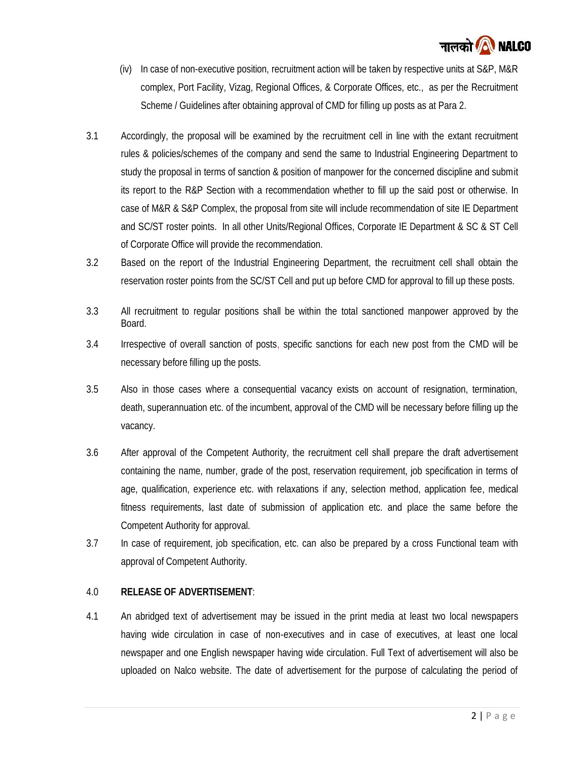

- (iv) In case of non-executive position, recruitment action will be taken by respective units at S&P, M&R complex, Port Facility, Vizag, Regional Offices, & Corporate Offices, etc., as per the Recruitment Scheme / Guidelines after obtaining approval of CMD for filling up posts as at Para 2.
- 3.1 Accordingly, the proposal will be examined by the recruitment cell in line with the extant recruitment rules & policies/schemes of the company and send the same to Industrial Engineering Department to study the proposal in terms of sanction & position of manpower for the concerned discipline and submit its report to the R&P Section with a recommendation whether to fill up the said post or otherwise. In case of M&R & S&P Complex, the proposal from site will include recommendation of site IE Department and SC/ST roster points. In all other Units/Regional Offices, Corporate IE Department & SC & ST Cell of Corporate Office will provide the recommendation.
- 3.2 Based on the report of the Industrial Engineering Department, the recruitment cell shall obtain the reservation roster points from the SC/ST Cell and put up before CMD for approval to fill up these posts.
- 3.3 All recruitment to regular positions shall be within the total sanctioned manpower approved by the Board.
- 3.4 Irrespective of overall sanction of posts, specific sanctions for each new post from the CMD will be necessary before filling up the posts.
- 3.5 Also in those cases where a consequential vacancy exists on account of resignation, termination, death, superannuation etc. of the incumbent, approval of the CMD will be necessary before filling up the vacancy.
- 3.6 After approval of the Competent Authority, the recruitment cell shall prepare the draft advertisement containing the name, number, grade of the post, reservation requirement, job specification in terms of age, qualification, experience etc. with relaxations if any, selection method, application fee, medical fitness requirements, last date of submission of application etc. and place the same before the Competent Authority for approval.
- 3.7 In case of requirement, job specification, etc. can also be prepared by a cross Functional team with approval of Competent Authority.

#### 4.0 **RELEASE OF ADVERTISEMENT**:

 $\frac{1}{2}$  | P a g e 4.1 An abridged text of advertisement may be issued in the print media at least two local newspapers having wide circulation in case of non-executives and in case of executives, at least one local newspaper and one English newspaper having wide circulation. Full Text of advertisement will also be uploaded on Nalco website. The date of advertisement for the purpose of calculating the period of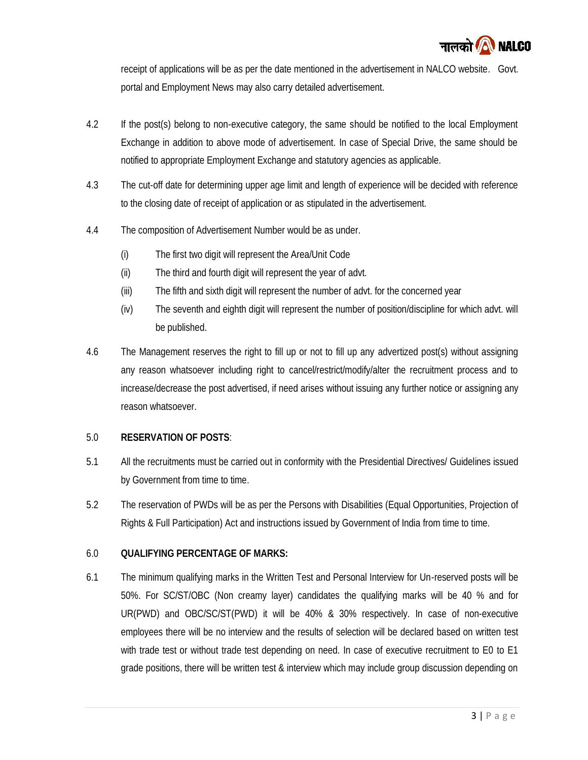

receipt of applications will be as per the date mentioned in the advertisement in NALCO website. Govt. portal and Employment News may also carry detailed advertisement.

- 4.2 If the post(s) belong to non-executive category, the same should be notified to the local Employment Exchange in addition to above mode of advertisement. In case of Special Drive, the same should be notified to appropriate Employment Exchange and statutory agencies as applicable.
- 4.3 The cut-off date for determining upper age limit and length of experience will be decided with reference to the closing date of receipt of application or as stipulated in the advertisement.
- 4.4 The composition of Advertisement Number would be as under.
	- (i) The first two digit will represent the Area/Unit Code
	- (ii) The third and fourth digit will represent the year of advt.
	- (iii) The fifth and sixth digit will represent the number of advt. for the concerned year
	- (iv) The seventh and eighth digit will represent the number of position/discipline for which advt. will be published.
- 4.6 The Management reserves the right to fill up or not to fill up any advertized post(s) without assigning any reason whatsoever including right to cancel/restrict/modify/alter the recruitment process and to increase/decrease the post advertised, if need arises without issuing any further notice or assigning any reason whatsoever.

#### 5.0 **RESERVATION OF POSTS**:

- 5.1 All the recruitments must be carried out in conformity with the Presidential Directives/ Guidelines issued by Government from time to time.
- 5.2 The reservation of PWDs will be as per the Persons with Disabilities (Equal Opportunities, Projection of Rights & Full Participation) Act and instructions issued by Government of India from time to time.

#### 6.0 **QUALIFYING PERCENTAGE OF MARKS:**

 $\frac{1}{3}$  | P a g e 6.1 The minimum qualifying marks in the Written Test and Personal Interview for Un-reserved posts will be 50%. For SC/ST/OBC (Non creamy layer) candidates the qualifying marks will be 40 % and for UR(PWD) and OBC/SC/ST(PWD) it will be 40% & 30% respectively. In case of non-executive employees there will be no interview and the results of selection will be declared based on written test with trade test or without trade test depending on need. In case of executive recruitment to E0 to E1 grade positions, there will be written test & interview which may include group discussion depending on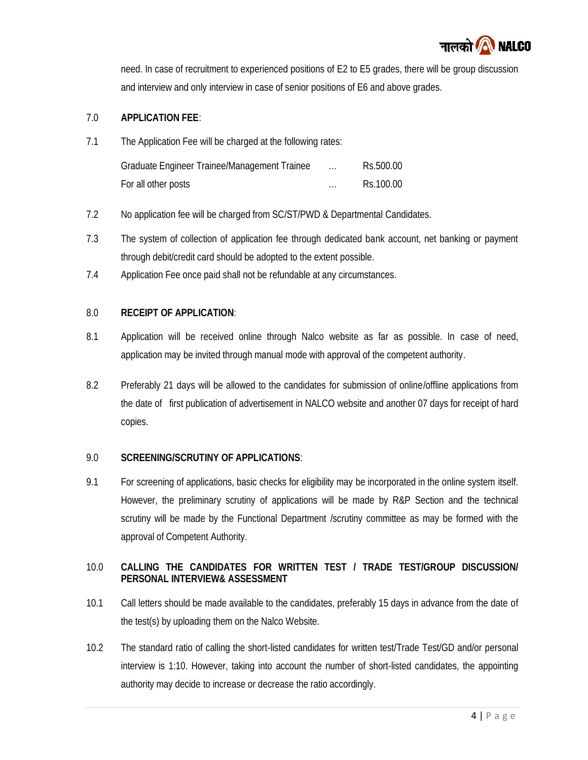

need. In case of recruitment to experienced positions of E2 to E5 grades, there will be group discussion and interview and only interview in case of senior positions of E6 and above grades.

#### 7.0 **APPLICATION FEE**:

7.1 The Application Fee will be charged at the following rates:

| Graduate Engineer Trainee/Management Trainee | $\cdots$ | Rs.500.00 |
|----------------------------------------------|----------|-----------|
| For all other posts                          | $\cdots$ | Rs.100.00 |

- 7.2 No application fee will be charged from SC/ST/PWD & Departmental Candidates.
- 7.3 The system of collection of application fee through dedicated bank account, net banking or payment through debit/credit card should be adopted to the extent possible.
- 7.4 Application Fee once paid shall not be refundable at any circumstances.

#### 8.0 **RECEIPT OF APPLICATION**:

- 8.1 Application will be received online through Nalco website as far as possible. In case of need, application may be invited through manual mode with approval of the competent authority.
- 8.2 Preferably 21 days will be allowed to the candidates for submission of online/offline applications from the date of first publication of advertisement in NALCO website and another 07 days for receipt of hard copies.

#### 9.0 **SCREENING/SCRUTINY OF APPLICATIONS**:

9.1 For screening of applications, basic checks for eligibility may be incorporated in the online system itself. However, the preliminary scrutiny of applications will be made by R&P Section and the technical scrutiny will be made by the Functional Department /scrutiny committee as may be formed with the approval of Competent Authority.

#### 10.0 **CALLING THE CANDIDATES FOR WRITTEN TEST / TRADE TEST/GROUP DISCUSSION/ PERSONAL INTERVIEW& ASSESSMENT**

- 10.1 Call letters should be made available to the candidates, preferably 15 days in advance from the date of the test(s) by uploading them on the Nalco Website.
- e appointing<br>4 | P a g e 10.2 The standard ratio of calling the short-listed candidates for written test/Trade Test/GD and/or personal interview is 1:10. However, taking into account the number of short-listed candidates, the appointing authority may decide to increase or decrease the ratio accordingly.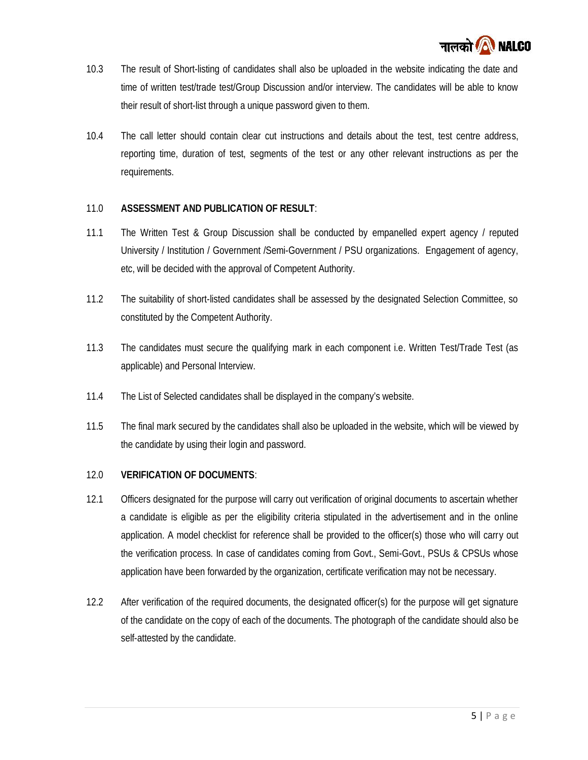

- 10.3 The result of Short-listing of candidates shall also be uploaded in the website indicating the date and time of written test/trade test/Group Discussion and/or interview. The candidates will be able to know their result of short-list through a unique password given to them.
- 10.4 The call letter should contain clear cut instructions and details about the test, test centre address, reporting time, duration of test, segments of the test or any other relevant instructions as per the requirements.

#### 11.0 **ASSESSMENT AND PUBLICATION OF RESULT**:

- 11.1 The Written Test & Group Discussion shall be conducted by empanelled expert agency / reputed University / Institution / Government /Semi-Government / PSU organizations. Engagement of agency, etc, will be decided with the approval of Competent Authority.
- 11.2 The suitability of short-listed candidates shall be assessed by the designated Selection Committee, so constituted by the Competent Authority.
- 11.3 The candidates must secure the qualifying mark in each component i.e. Written Test/Trade Test (as applicable) and Personal Interview.
- 11.4 The List of Selected candidates shall be displayed in the company's website.
- 11.5 The final mark secured by the candidates shall also be uploaded in the website, which will be viewed by the candidate by using their login and password.
- 12.0 **VERIFICATION OF DOCUMENTS**:
- 12.1 Officers designated for the purpose will carry out verification of original documents to ascertain whether a candidate is eligible as per the eligibility criteria stipulated in the advertisement and in the online application. A model checklist for reference shall be provided to the officer(s) those who will carry out the verification process. In case of candidates coming from Govt., Semi-Govt., PSUs & CPSUs whose application have been forwarded by the organization, certificate verification may not be necessary.
- 12.2 After verification of the required documents, the designated officer(s) for the purpose will get signature of the candidate on the copy of each of the documents. The photograph of the candidate should also be self-attested by the candidate.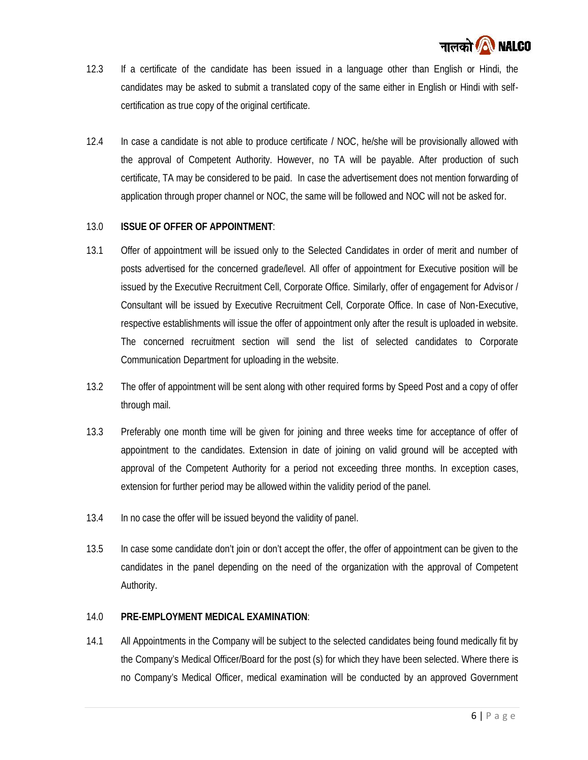

- 12.3 If a certificate of the candidate has been issued in a language other than English or Hindi, the candidates may be asked to submit a translated copy of the same either in English or Hindi with self certification as true copy of the original certificate.
- 12.4 In case a candidate is not able to produce certificate / NOC, he/she will be provisionally allowed with the approval of Competent Authority. However, no TA will be payable. After production of such certificate, TA may be considered to be paid. In case the advertisement does not mention forwarding of application through proper channel or NOC, the same will be followed and NOC will not be asked for.

#### 13.0 **ISSUE OF OFFER OF APPOINTMENT**:

- 13.1 Offer of appointment will be issued only to the Selected Candidates in order of merit and number of posts advertised for the concerned grade/level. All offer of appointment for Executive position will be issued by the Executive Recruitment Cell, Corporate Office. Similarly, offer of engagement for Advisor / Consultant will be issued by Executive Recruitment Cell, Corporate Office. In case of Non-Executive, respective establishments will issue the offer of appointment only after the result is uploaded in website. The concerned recruitment section will send the list of selected candidates to Corporate Communication Department for uploading in the website.
- 13.2 The offer of appointment will be sent along with other required forms by Speed Post and a copy of offer through mail.
- 13.3 Preferably one month time will be given for joining and three weeks time for acceptance of offer of appointment to the candidates. Extension in date of joining on valid ground will be accepted with approval of the Competent Authority for a period not exceeding three months. In exception cases, extension for further period may be allowed within the validity period of the panel.
- 13.4 In no case the offer will be issued beyond the validity of panel.
- 13.5 In case some candidate don't join or don't accept the offer, the offer of appointment can be given to the candidates in the panel depending on the need of the organization with the approval of Competent Authority.

#### 14.0 **PRE-EMPLOYMENT MEDICAL EXAMINATION**:

here there is<br>Government<br>6 | P a g e 14.1 All Appointments in the Company will be subject to the selected candidates being found medically fit by the Company's Medical Officer/Board for the post (s) for which they have been selected. Where there is no Company's Medical Officer, medical examination will be conducted by an approved Government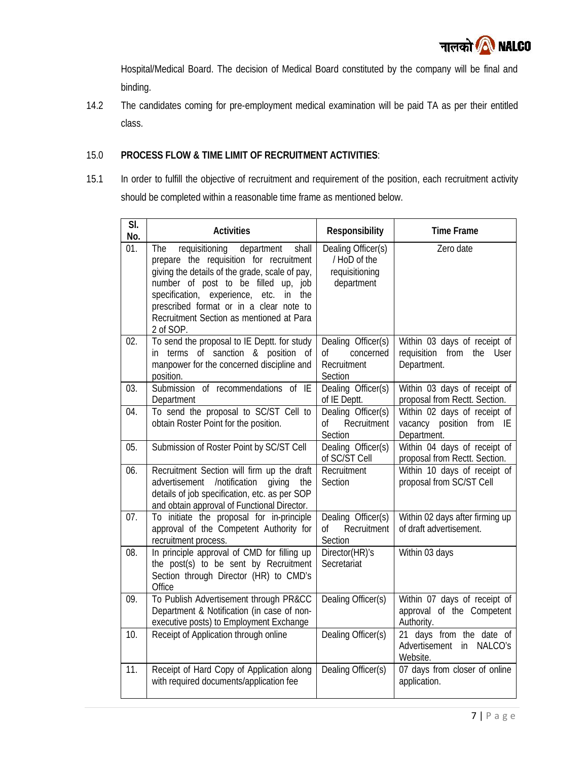

Hospital/Medical Board. The decision of Medical Board constituted by the company will be final and binding.

14.2 The candidates coming for pre-employment medical examination will be paid TA as per their entitled class.

### 15.0 **PROCESS FLOW & TIME LIMIT OF RECRUITMENT ACTIVITIES**:

15.1 In order to fulfill the objective of recruitment and requirement of the position, each recruitment activity should be completed within a reasonable time frame as mentioned below.

| SI.<br><b>Activities</b><br>Responsibility<br><b>Time Frame</b><br>No.<br>01.<br>requisitioning<br>Zero date<br>department<br>shall<br>Dealing Officer(s)<br>The<br>prepare the requisition for recruitment<br>/ HoD of the<br>giving the details of the grade, scale of pay,<br>requisitioning<br>number of post to be filled up, job<br>department<br>specification, experience, etc. in the<br>prescribed format or in a clear note to<br>Recruitment Section as mentioned at Para<br>2 of SOP.<br>To send the proposal to IE Deptt. for study<br>02.<br>Dealing Officer(s)<br>Within 03 days of receipt of<br>in terms of sanction & position of<br>requisition from the User<br>0f<br>concerned<br>manpower for the concerned discipline and<br>Department.<br>Recruitment<br>Section<br>position.<br>Dealing Officer(s)<br>Submission of recommendations of IE<br>03.<br>of IE Deptt.<br>proposal from Rectt. Section.<br>Department<br>To send the proposal to SC/ST Cell to<br>Dealing Officer(s)<br>04.<br>obtain Roster Point for the position.<br>vacancy position from IE<br>0f<br>Recruitment<br>Section<br>Department.<br>Dealing Officer(s)<br>05.<br>Submission of Roster Point by SC/ST Cell<br>of SC/ST Cell<br>proposal from Rectt. Section.<br>Recruitment<br>Recruitment Section will firm up the draft<br>06.<br>/notification<br>Section<br>proposal from SC/ST Cell<br>advertisement<br>giving<br>the<br>details of job specification, etc. as per SOP<br>and obtain approval of Functional Director.<br>Dealing Officer(s)<br>Within 02 days after firming up<br>07.<br>To initiate the proposal for in-principle<br>approval of the Competent Authority for<br>of draft advertisement.<br>Recruitment<br>Οf<br>Section<br>recruitment process.<br>In principle approval of CMD for filling up<br>Director(HR)'s<br>Within 03 days<br>08.<br>the post(s) to be sent by Recruitment<br>Secretariat<br>Section through Director (HR) to CMD's<br>Office<br>To Publish Advertisement through PR&CC<br>Dealing Officer(s)<br>Within 07 days of receipt of<br>09.<br>Department & Notification (in case of non-<br>approval of the Competent<br>executive posts) to Employment Exchange<br>Authority.<br>10.<br>Receipt of Application through online<br>Dealing Officer(s)<br>21 days from the date of<br>Advertisement in NALCO's<br>Website.<br>11.<br>Dealing Officer(s)<br>07 days from closer of online<br>Receipt of Hard Copy of Application along<br>with required documents/application fee<br>application. |  |                              |
|-------------------------------------------------------------------------------------------------------------------------------------------------------------------------------------------------------------------------------------------------------------------------------------------------------------------------------------------------------------------------------------------------------------------------------------------------------------------------------------------------------------------------------------------------------------------------------------------------------------------------------------------------------------------------------------------------------------------------------------------------------------------------------------------------------------------------------------------------------------------------------------------------------------------------------------------------------------------------------------------------------------------------------------------------------------------------------------------------------------------------------------------------------------------------------------------------------------------------------------------------------------------------------------------------------------------------------------------------------------------------------------------------------------------------------------------------------------------------------------------------------------------------------------------------------------------------------------------------------------------------------------------------------------------------------------------------------------------------------------------------------------------------------------------------------------------------------------------------------------------------------------------------------------------------------------------------------------------------------------------------------------------------------------------------------------------------------------------------------------------------------------------------------------------------------------------------------------------------------------------------------------------------------------------------------------------------------------------------------------------------------------------------------------------------------------------------------------------------------------------------------------------------------------------|--|------------------------------|
|                                                                                                                                                                                                                                                                                                                                                                                                                                                                                                                                                                                                                                                                                                                                                                                                                                                                                                                                                                                                                                                                                                                                                                                                                                                                                                                                                                                                                                                                                                                                                                                                                                                                                                                                                                                                                                                                                                                                                                                                                                                                                                                                                                                                                                                                                                                                                                                                                                                                                                                                           |  |                              |
|                                                                                                                                                                                                                                                                                                                                                                                                                                                                                                                                                                                                                                                                                                                                                                                                                                                                                                                                                                                                                                                                                                                                                                                                                                                                                                                                                                                                                                                                                                                                                                                                                                                                                                                                                                                                                                                                                                                                                                                                                                                                                                                                                                                                                                                                                                                                                                                                                                                                                                                                           |  |                              |
|                                                                                                                                                                                                                                                                                                                                                                                                                                                                                                                                                                                                                                                                                                                                                                                                                                                                                                                                                                                                                                                                                                                                                                                                                                                                                                                                                                                                                                                                                                                                                                                                                                                                                                                                                                                                                                                                                                                                                                                                                                                                                                                                                                                                                                                                                                                                                                                                                                                                                                                                           |  |                              |
|                                                                                                                                                                                                                                                                                                                                                                                                                                                                                                                                                                                                                                                                                                                                                                                                                                                                                                                                                                                                                                                                                                                                                                                                                                                                                                                                                                                                                                                                                                                                                                                                                                                                                                                                                                                                                                                                                                                                                                                                                                                                                                                                                                                                                                                                                                                                                                                                                                                                                                                                           |  | Within 03 days of receipt of |
|                                                                                                                                                                                                                                                                                                                                                                                                                                                                                                                                                                                                                                                                                                                                                                                                                                                                                                                                                                                                                                                                                                                                                                                                                                                                                                                                                                                                                                                                                                                                                                                                                                                                                                                                                                                                                                                                                                                                                                                                                                                                                                                                                                                                                                                                                                                                                                                                                                                                                                                                           |  | Within 02 days of receipt of |
|                                                                                                                                                                                                                                                                                                                                                                                                                                                                                                                                                                                                                                                                                                                                                                                                                                                                                                                                                                                                                                                                                                                                                                                                                                                                                                                                                                                                                                                                                                                                                                                                                                                                                                                                                                                                                                                                                                                                                                                                                                                                                                                                                                                                                                                                                                                                                                                                                                                                                                                                           |  | Within 04 days of receipt of |
|                                                                                                                                                                                                                                                                                                                                                                                                                                                                                                                                                                                                                                                                                                                                                                                                                                                                                                                                                                                                                                                                                                                                                                                                                                                                                                                                                                                                                                                                                                                                                                                                                                                                                                                                                                                                                                                                                                                                                                                                                                                                                                                                                                                                                                                                                                                                                                                                                                                                                                                                           |  | Within 10 days of receipt of |
|                                                                                                                                                                                                                                                                                                                                                                                                                                                                                                                                                                                                                                                                                                                                                                                                                                                                                                                                                                                                                                                                                                                                                                                                                                                                                                                                                                                                                                                                                                                                                                                                                                                                                                                                                                                                                                                                                                                                                                                                                                                                                                                                                                                                                                                                                                                                                                                                                                                                                                                                           |  |                              |
|                                                                                                                                                                                                                                                                                                                                                                                                                                                                                                                                                                                                                                                                                                                                                                                                                                                                                                                                                                                                                                                                                                                                                                                                                                                                                                                                                                                                                                                                                                                                                                                                                                                                                                                                                                                                                                                                                                                                                                                                                                                                                                                                                                                                                                                                                                                                                                                                                                                                                                                                           |  |                              |
|                                                                                                                                                                                                                                                                                                                                                                                                                                                                                                                                                                                                                                                                                                                                                                                                                                                                                                                                                                                                                                                                                                                                                                                                                                                                                                                                                                                                                                                                                                                                                                                                                                                                                                                                                                                                                                                                                                                                                                                                                                                                                                                                                                                                                                                                                                                                                                                                                                                                                                                                           |  |                              |
|                                                                                                                                                                                                                                                                                                                                                                                                                                                                                                                                                                                                                                                                                                                                                                                                                                                                                                                                                                                                                                                                                                                                                                                                                                                                                                                                                                                                                                                                                                                                                                                                                                                                                                                                                                                                                                                                                                                                                                                                                                                                                                                                                                                                                                                                                                                                                                                                                                                                                                                                           |  |                              |
|                                                                                                                                                                                                                                                                                                                                                                                                                                                                                                                                                                                                                                                                                                                                                                                                                                                                                                                                                                                                                                                                                                                                                                                                                                                                                                                                                                                                                                                                                                                                                                                                                                                                                                                                                                                                                                                                                                                                                                                                                                                                                                                                                                                                                                                                                                                                                                                                                                                                                                                                           |  |                              |
|                                                                                                                                                                                                                                                                                                                                                                                                                                                                                                                                                                                                                                                                                                                                                                                                                                                                                                                                                                                                                                                                                                                                                                                                                                                                                                                                                                                                                                                                                                                                                                                                                                                                                                                                                                                                                                                                                                                                                                                                                                                                                                                                                                                                                                                                                                                                                                                                                                                                                                                                           |  |                              |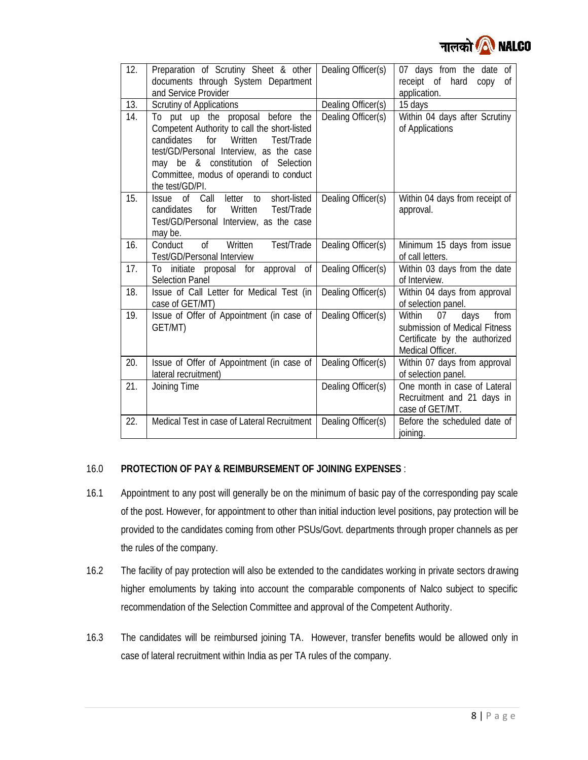

| 12. | Preparation of Scrutiny Sheet & other<br>documents through System Department<br>and Service Provider                                                                                                                                                                           | Dealing Officer(s) | 07 days from the date of<br>receipt of hard<br>copy<br>Οf<br>application.                                          |
|-----|--------------------------------------------------------------------------------------------------------------------------------------------------------------------------------------------------------------------------------------------------------------------------------|--------------------|--------------------------------------------------------------------------------------------------------------------|
| 13. | <b>Scrutiny of Applications</b>                                                                                                                                                                                                                                                | Dealing Officer(s) | 15 days                                                                                                            |
| 14. | To put up the proposal before the<br>Competent Authority to call the short-listed<br>candidates<br>Written<br>Test/Trade<br>for<br>test/GD/Personal Interview, as the case<br>may be & constitution of Selection<br>Committee, modus of operandi to conduct<br>the test/GD/PI. | Dealing Officer(s) | Within 04 days after Scrutiny<br>of Applications                                                                   |
| 15. | of Call<br>letter to<br>short-listed<br><i>Issue</i><br>Test/Trade<br>candidates<br>for<br>Written<br>Test/GD/Personal Interview, as the case<br>may be.                                                                                                                       | Dealing Officer(s) | Within 04 days from receipt of<br>approval.                                                                        |
| 16. | $\sigma$<br>Test/Trade<br>Conduct<br>Written<br><b>Test/GD/Personal Interview</b>                                                                                                                                                                                              | Dealing Officer(s) | Minimum 15 days from issue<br>of call letters.                                                                     |
| 17. | approval<br>0f<br>initiate proposal for<br>To<br><b>Selection Panel</b>                                                                                                                                                                                                        | Dealing Officer(s) | Within 03 days from the date<br>of Interview.                                                                      |
| 18. | Issue of Call Letter for Medical Test (in<br>case of GET/MT)                                                                                                                                                                                                                   | Dealing Officer(s) | Within 04 days from approval<br>of selection panel.                                                                |
| 19. | Issue of Offer of Appointment (in case of<br>GET/MT)                                                                                                                                                                                                                           | Dealing Officer(s) | Within<br>from<br>07<br>days<br>submission of Medical Fitness<br>Certificate by the authorized<br>Medical Officer. |
| 20. | Issue of Offer of Appointment (in case of<br>lateral recruitment)                                                                                                                                                                                                              | Dealing Officer(s) | Within 07 days from approval<br>of selection panel.                                                                |
| 21. | Joining Time                                                                                                                                                                                                                                                                   | Dealing Officer(s) | One month in case of Lateral<br>Recruitment and 21 days in<br>case of GET/MT.                                      |
| 22. | Medical Test in case of Lateral Recruitment                                                                                                                                                                                                                                    | Dealing Officer(s) | Before the scheduled date of<br>joining.                                                                           |

#### 16.0 **PROTECTION OF PAY & REIMBURSEMENT OF JOINING EXPENSES** :

- 16.1 Appointment to any post will generally be on the minimum of basic pay of the corresponding pay scale of the post. However, for appointment to other than initial induction level positions, pay protection will be provided to the candidates coming from other PSUs/Govt. departments through proper channels as per the rules of the company.
- 16.2 The facility of pay protection will also be extended to the candidates working in private sectors drawing higher emoluments by taking into account the comparable components of Nalco subject to specific recommendation of the Selection Committee and approval of the Competent Authority.
- 16.3 The candidates will be reimbursed joining TA. However, transfer benefits would be allowed only in case of lateral recruitment within India as per TA rules of the company.